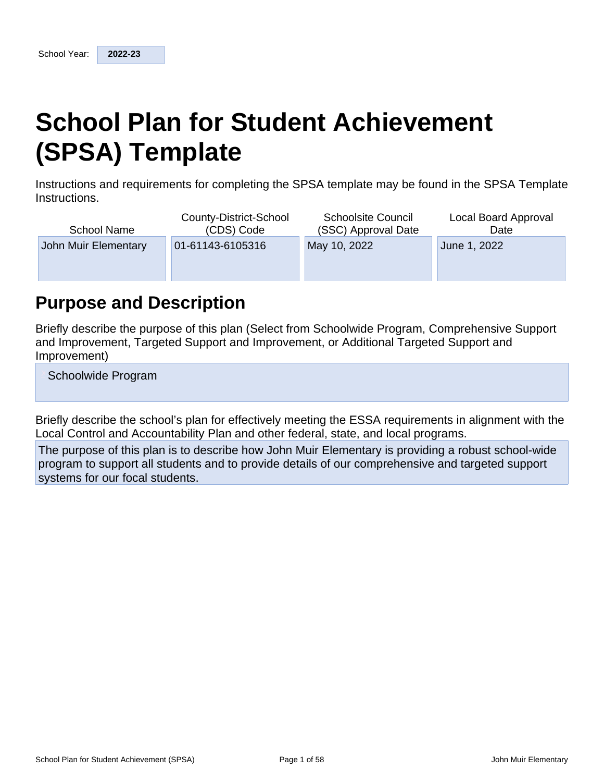# **School Plan for Student Achievement (SPSA) Template**

Instructions and requirements for completing the SPSA template may be found in the SPSA Template Instructions.

| <b>School Name</b>   | County-District-School<br>(CDS) Code | <b>Schoolsite Council</b><br>(SSC) Approval Date | Local Board Approval<br>Date |
|----------------------|--------------------------------------|--------------------------------------------------|------------------------------|
| John Muir Elementary | 01-61143-6105316                     | May 10, 2022                                     | June 1, 2022                 |
|                      |                                      |                                                  |                              |
|                      |                                      |                                                  |                              |

## **Purpose and Description**

Briefly describe the purpose of this plan (Select from Schoolwide Program, Comprehensive Support and Improvement, Targeted Support and Improvement, or Additional Targeted Support and Improvement)

Schoolwide Program

Briefly describe the school's plan for effectively meeting the ESSA requirements in alignment with the Local Control and Accountability Plan and other federal, state, and local programs.

The purpose of this plan is to describe how John Muir Elementary is providing a robust school-wide program to support all students and to provide details of our comprehensive and targeted support systems for our focal students.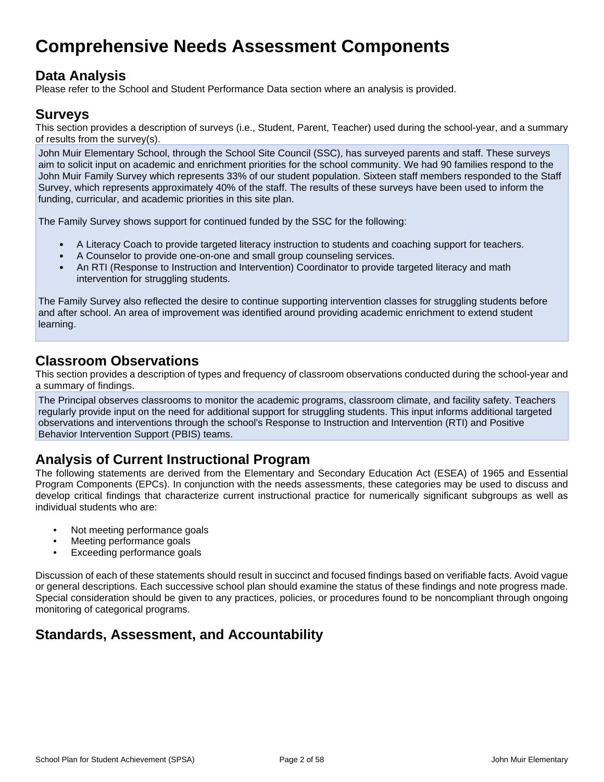## **Comprehensive Needs Assessment Components**

## **Data Analysis**

Please refer to the School and Student Performance Data section where an analysis is provided.

### **Surveys**

This section provides a description of surveys (i.e., Student, Parent, Teacher) used during the school-year, and a summary of results from the survey(s).

John Muir Elementary School, through the School Site Council (SSC), has surveyed parents and staff. These surveys aim to solicit input on academic and enrichment priorities for the school community. We had 90 families respond to the John Muir Family Survey which represents 33% of our student population. Sixteen staff members responded to the Staff Survey, which represents approximately 40% of the staff. The results of these surveys have been used to inform the funding, curricular, and academic priorities in this site plan.

The Family Survey shows support for continued funded by the SSC for the following:

- A Literacy Coach to provide targeted literacy instruction to students and coaching support for teachers.
- A Counselor to provide one-on-one and small group counseling services.
- An RTI (Response to Instruction and Intervention) Coordinator to provide targeted literacy and math intervention for struggling students.

The Family Survey also reflected the desire to continue supporting intervention classes for struggling students before and after school. An area of improvement was identified around providing academic enrichment to extend student learning.

### **Classroom Observations**

This section provides a description of types and frequency of classroom observations conducted during the school-year and a summary of findings.

The Principal observes classrooms to monitor the academic programs, classroom climate, and facility safety. Teachers regularly provide input on the need for additional support for struggling students. This input informs additional targeted observations and interventions through the school's Response to Instruction and Intervention (RTI) and Positive Behavior Intervention Support (PBIS) teams.

## **Analysis of Current Instructional Program**

The following statements are derived from the Elementary and Secondary Education Act (ESEA) of 1965 and Essential Program Components (EPCs). In conjunction with the needs assessments, these categories may be used to discuss and develop critical findings that characterize current instructional practice for numerically significant subgroups as well as individual students who are:

- Not meeting performance goals
- Meeting performance goals
- Exceeding performance goals

Discussion of each of these statements should result in succinct and focused findings based on verifiable facts. Avoid vague or general descriptions. Each successive school plan should examine the status of these findings and note progress made. Special consideration should be given to any practices, policies, or procedures found to be noncompliant through ongoing monitoring of categorical programs.

## **Standards, Assessment, and Accountability**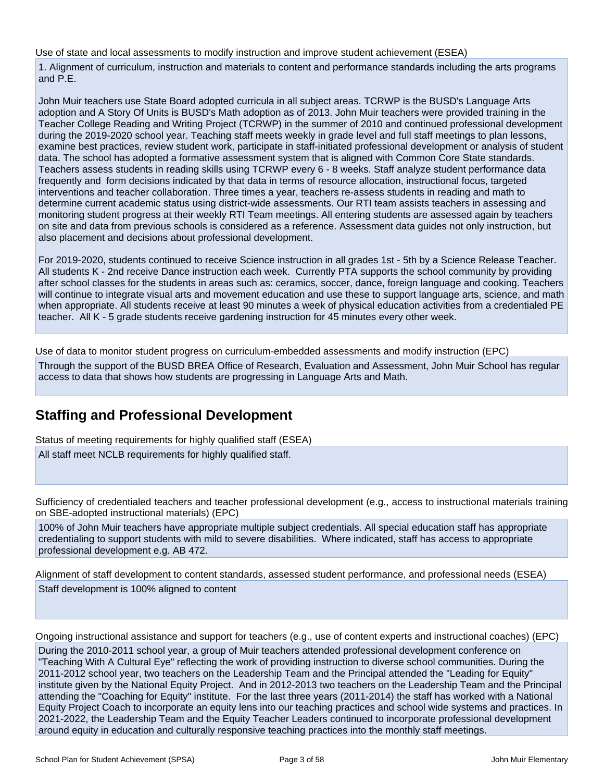Use of state and local assessments to modify instruction and improve student achievement (ESEA)

1. Alignment of curriculum, instruction and materials to content and performance standards including the arts programs and P.E.

John Muir teachers use State Board adopted curricula in all subject areas. TCRWP is the BUSD's Language Arts adoption and A Story Of Units is BUSD's Math adoption as of 2013. John Muir teachers were provided training in the Teacher College Reading and Writing Project (TCRWP) in the summer of 2010 and continued professional development during the 2019-2020 school year. Teaching staff meets weekly in grade level and full staff meetings to plan lessons, examine best practices, review student work, participate in staff-initiated professional development or analysis of student data. The school has adopted a formative assessment system that is aligned with Common Core State standards. Teachers assess students in reading skills using TCRWP every 6 - 8 weeks. Staff analyze student performance data frequently and form decisions indicated by that data in terms of resource allocation, instructional focus, targeted interventions and teacher collaboration. Three times a year, teachers re-assess students in reading and math to determine current academic status using district-wide assessments. Our RTI team assists teachers in assessing and monitoring student progress at their weekly RTI Team meetings. All entering students are assessed again by teachers on site and data from previous schools is considered as a reference. Assessment data guides not only instruction, but also placement and decisions about professional development.

For 2019-2020, students continued to receive Science instruction in all grades 1st - 5th by a Science Release Teacher. All students K - 2nd receive Dance instruction each week. Currently PTA supports the school community by providing after school classes for the students in areas such as: ceramics, soccer, dance, foreign language and cooking. Teachers will continue to integrate visual arts and movement education and use these to support language arts, science, and math when appropriate. All students receive at least 90 minutes a week of physical education activities from a credentialed PE teacher. All K - 5 grade students receive gardening instruction for 45 minutes every other week.

Use of data to monitor student progress on curriculum-embedded assessments and modify instruction (EPC)

Through the support of the BUSD BREA Office of Research, Evaluation and Assessment, John Muir School has regular access to data that shows how students are progressing in Language Arts and Math.

## **Staffing and Professional Development**

Status of meeting requirements for highly qualified staff (ESEA)

All staff meet NCLB requirements for highly qualified staff.

Sufficiency of credentialed teachers and teacher professional development (e.g., access to instructional materials training on SBE-adopted instructional materials) (EPC)

100% of John Muir teachers have appropriate multiple subject credentials. All special education staff has appropriate credentialing to support students with mild to severe disabilities. Where indicated, staff has access to appropriate professional development e.g. AB 472.

Alignment of staff development to content standards, assessed student performance, and professional needs (ESEA) Staff development is 100% aligned to content

Ongoing instructional assistance and support for teachers (e.g., use of content experts and instructional coaches) (EPC)

During the 2010-2011 school year, a group of Muir teachers attended professional development conference on "Teaching With A Cultural Eye" reflecting the work of providing instruction to diverse school communities. During the 2011-2012 school year, two teachers on the Leadership Team and the Principal attended the "Leading for Equity" institute given by the National Equity Project. And in 2012-2013 two teachers on the Leadership Team and the Principal attending the "Coaching for Equity" institute. For the last three years (2011-2014) the staff has worked with a National Equity Project Coach to incorporate an equity lens into our teaching practices and school wide systems and practices. In 2021-2022, the Leadership Team and the Equity Teacher Leaders continued to incorporate professional development around equity in education and culturally responsive teaching practices into the monthly staff meetings.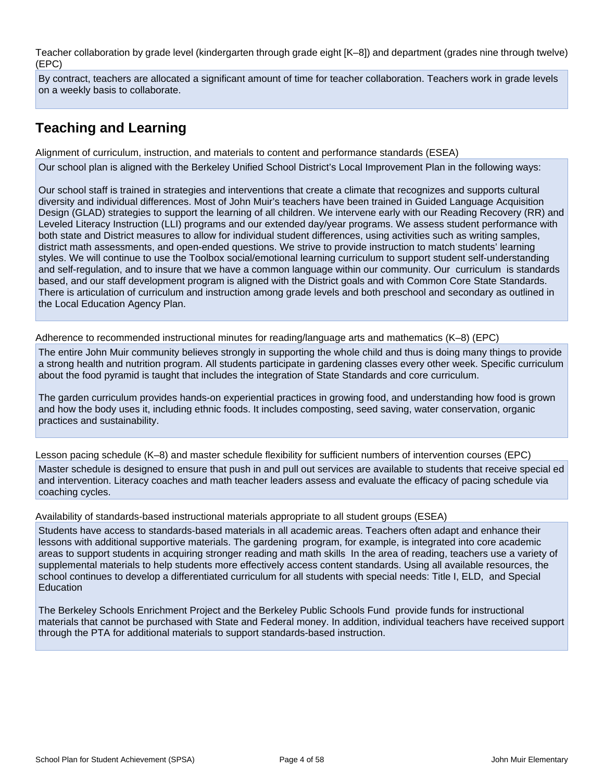Teacher collaboration by grade level (kindergarten through grade eight [K–8]) and department (grades nine through twelve) (EPC)

By contract, teachers are allocated a significant amount of time for teacher collaboration. Teachers work in grade levels on a weekly basis to collaborate.

## **Teaching and Learning**

Alignment of curriculum, instruction, and materials to content and performance standards (ESEA)

Our school plan is aligned with the Berkeley Unified School District's Local Improvement Plan in the following ways:

Our school staff is trained in strategies and interventions that create a climate that recognizes and supports cultural diversity and individual differences. Most of John Muir's teachers have been trained in Guided Language Acquisition Design (GLAD) strategies to support the learning of all children. We intervene early with our Reading Recovery (RR) and Leveled Literacy Instruction (LLI) programs and our extended day/year programs. We assess student performance with both state and District measures to allow for individual student differences, using activities such as writing samples, district math assessments, and open-ended questions. We strive to provide instruction to match students' learning styles. We will continue to use the Toolbox social/emotional learning curriculum to support student self-understanding and self-regulation, and to insure that we have a common language within our community. Our curriculum is standards based, and our staff development program is aligned with the District goals and with Common Core State Standards. There is articulation of curriculum and instruction among grade levels and both preschool and secondary as outlined in the Local Education Agency Plan.

Adherence to recommended instructional minutes for reading/language arts and mathematics (K–8) (EPC)

The entire John Muir community believes strongly in supporting the whole child and thus is doing many things to provide a strong health and nutrition program. All students participate in gardening classes every other week. Specific curriculum about the food pyramid is taught that includes the integration of State Standards and core curriculum.

The garden curriculum provides hands-on experiential practices in growing food, and understanding how food is grown and how the body uses it, including ethnic foods. It includes composting, seed saving, water conservation, organic practices and sustainability.

Lesson pacing schedule (K–8) and master schedule flexibility for sufficient numbers of intervention courses (EPC) Master schedule is designed to ensure that push in and pull out services are available to students that receive special ed and intervention. Literacy coaches and math teacher leaders assess and evaluate the efficacy of pacing schedule via coaching cycles.

Availability of standards-based instructional materials appropriate to all student groups (ESEA)

Students have access to standards-based materials in all academic areas. Teachers often adapt and enhance their lessons with additional supportive materials. The gardening program, for example, is integrated into core academic areas to support students in acquiring stronger reading and math skills In the area of reading, teachers use a variety of supplemental materials to help students more effectively access content standards. Using all available resources, the school continues to develop a differentiated curriculum for all students with special needs: Title I, ELD, and Special Education

The Berkeley Schools Enrichment Project and the Berkeley Public Schools Fund provide funds for instructional materials that cannot be purchased with State and Federal money. In addition, individual teachers have received support through the PTA for additional materials to support standards-based instruction.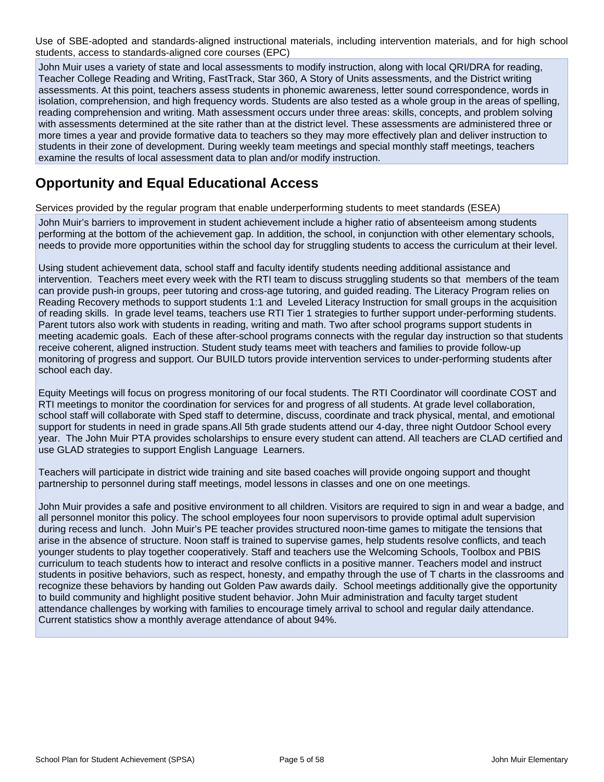Use of SBE-adopted and standards-aligned instructional materials, including intervention materials, and for high school students, access to standards-aligned core courses (EPC)

John Muir uses a variety of state and local assessments to modify instruction, along with local QRI/DRA for reading, Teacher College Reading and Writing, FastTrack, Star 360, A Story of Units assessments, and the District writing assessments. At this point, teachers assess students in phonemic awareness, letter sound correspondence, words in isolation, comprehension, and high frequency words. Students are also tested as a whole group in the areas of spelling, reading comprehension and writing. Math assessment occurs under three areas: skills, concepts, and problem solving with assessments determined at the site rather than at the district level. These assessments are administered three or more times a year and provide formative data to teachers so they may more effectively plan and deliver instruction to students in their zone of development. During weekly team meetings and special monthly staff meetings, teachers examine the results of local assessment data to plan and/or modify instruction.

## **Opportunity and Equal Educational Access**

Services provided by the regular program that enable underperforming students to meet standards (ESEA)

John Muir's barriers to improvement in student achievement include a higher ratio of absenteeism among students performing at the bottom of the achievement gap. In addition, the school, in conjunction with other elementary schools, needs to provide more opportunities within the school day for struggling students to access the curriculum at their level.

Using student achievement data, school staff and faculty identify students needing additional assistance and intervention. Teachers meet every week with the RTI team to discuss struggling students so that members of the team can provide push-in groups, peer tutoring and cross-age tutoring, and guided reading. The Literacy Program relies on Reading Recovery methods to support students 1:1 and Leveled Literacy Instruction for small groups in the acquisition of reading skills. In grade level teams, teachers use RTI Tier 1 strategies to further support under-performing students. Parent tutors also work with students in reading, writing and math. Two after school programs support students in meeting academic goals. Each of these after-school programs connects with the regular day instruction so that students receive coherent, aligned instruction. Student study teams meet with teachers and families to provide follow-up monitoring of progress and support. Our BUILD tutors provide intervention services to under-performing students after school each day.

Equity Meetings will focus on progress monitoring of our focal students. The RTI Coordinator will coordinate COST and RTI meetings to monitor the coordination for services for and progress of all students. At grade level collaboration, school staff will collaborate with Sped staff to determine, discuss, coordinate and track physical, mental, and emotional support for students in need in grade spans.All 5th grade students attend our 4-day, three night Outdoor School every year. The John Muir PTA provides scholarships to ensure every student can attend. All teachers are CLAD certified and use GLAD strategies to support English Language Learners.

Teachers will participate in district wide training and site based coaches will provide ongoing support and thought partnership to personnel during staff meetings, model lessons in classes and one on one meetings.

John Muir provides a safe and positive environment to all children. Visitors are required to sign in and wear a badge, and all personnel monitor this policy. The school employees four noon supervisors to provide optimal adult supervision during recess and lunch. John Muir's PE teacher provides structured noon-time games to mitigate the tensions that arise in the absence of structure. Noon staff is trained to supervise games, help students resolve conflicts, and teach younger students to play together cooperatively. Staff and teachers use the Welcoming Schools, Toolbox and PBIS curriculum to teach students how to interact and resolve conflicts in a positive manner. Teachers model and instruct students in positive behaviors, such as respect, honesty, and empathy through the use of T charts in the classrooms and recognize these behaviors by handing out Golden Paw awards daily. School meetings additionally give the opportunity to build community and highlight positive student behavior. John Muir administration and faculty target student attendance challenges by working with families to encourage timely arrival to school and regular daily attendance. Current statistics show a monthly average attendance of about 94%.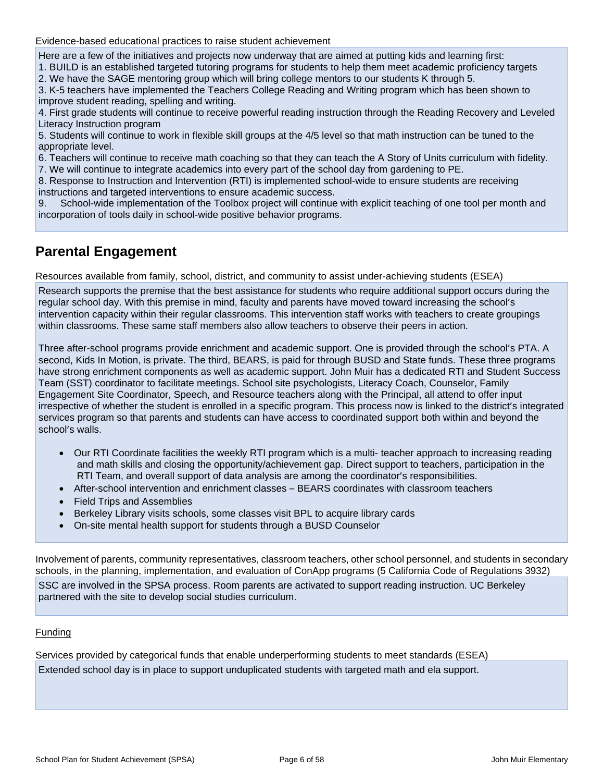Evidence-based educational practices to raise student achievement

Here are a few of the initiatives and projects now underway that are aimed at putting kids and learning first:

1. BUILD is an established targeted tutoring programs for students to help them meet academic proficiency targets 2. We have the SAGE mentoring group which will bring college mentors to our students K through 5.

3. K-5 teachers have implemented the Teachers College Reading and Writing program which has been shown to improve student reading, spelling and writing.

4. First grade students will continue to receive powerful reading instruction through the Reading Recovery and Leveled Literacy Instruction program

5. Students will continue to work in flexible skill groups at the 4/5 level so that math instruction can be tuned to the appropriate level.

6. Teachers will continue to receive math coaching so that they can teach the A Story of Units curriculum with fidelity. 7. We will continue to integrate academics into every part of the school day from gardening to PE.

8. Response to Instruction and Intervention (RTI) is implemented school-wide to ensure students are receiving instructions and targeted interventions to ensure academic success.

9. School-wide implementation of the Toolbox project will continue with explicit teaching of one tool per month and incorporation of tools daily in school-wide positive behavior programs.

## **Parental Engagement**

Resources available from family, school, district, and community to assist under-achieving students (ESEA)

Research supports the premise that the best assistance for students who require additional support occurs during the regular school day. With this premise in mind, faculty and parents have moved toward increasing the school's intervention capacity within their regular classrooms. This intervention staff works with teachers to create groupings within classrooms. These same staff members also allow teachers to observe their peers in action.

Three after-school programs provide enrichment and academic support. One is provided through the school's PTA. A second, Kids In Motion, is private. The third, BEARS, is paid for through BUSD and State funds. These three programs have strong enrichment components as well as academic support. John Muir has a dedicated RTI and Student Success Team (SST) coordinator to facilitate meetings. School site psychologists, Literacy Coach, Counselor, Family Engagement Site Coordinator, Speech, and Resource teachers along with the Principal, all attend to offer input irrespective of whether the student is enrolled in a specific program. This process now is linked to the district's integrated services program so that parents and students can have access to coordinated support both within and beyond the school's walls.

- Our RTI Coordinate facilities the weekly RTI program which is a multi- teacher approach to increasing reading and math skills and closing the opportunity/achievement gap. Direct support to teachers, participation in the RTI Team, and overall support of data analysis are among the coordinator's responsibilities.
- After-school intervention and enrichment classes BEARS coordinates with classroom teachers
- Field Trips and Assemblies
- Berkeley Library visits schools, some classes visit BPL to acquire library cards
- On-site mental health support for students through a BUSD Counselor

Involvement of parents, community representatives, classroom teachers, other school personnel, and students in secondary schools, in the planning, implementation, and evaluation of ConApp programs (5 California Code of Regulations 3932) SSC are involved in the SPSA process. Room parents are activated to support reading instruction. UC Berkeley partnered with the site to develop social studies curriculum.

#### Funding

Services provided by categorical funds that enable underperforming students to meet standards (ESEA) Extended school day is in place to support unduplicated students with targeted math and ela support.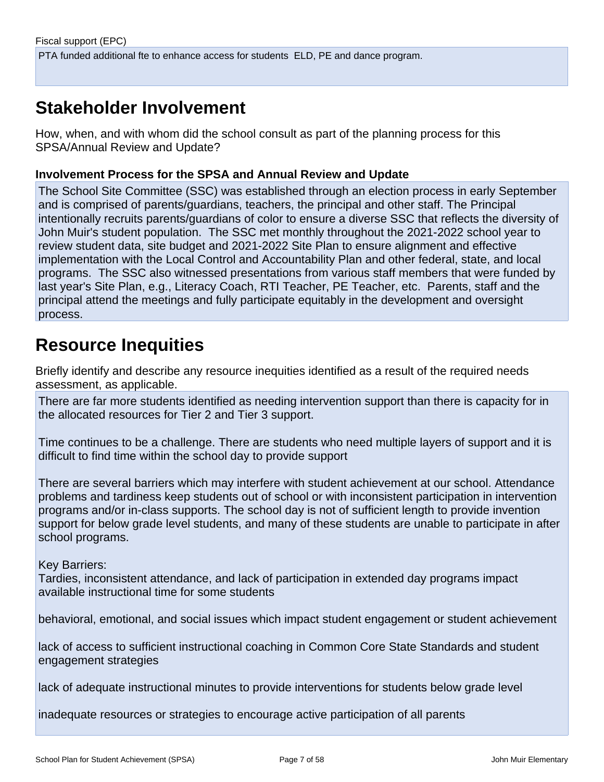## **Stakeholder Involvement**

How, when, and with whom did the school consult as part of the planning process for this SPSA/Annual Review and Update?

#### **Involvement Process for the SPSA and Annual Review and Update**

The School Site Committee (SSC) was established through an election process in early September and is comprised of parents/guardians, teachers, the principal and other staff. The Principal intentionally recruits parents/guardians of color to ensure a diverse SSC that reflects the diversity of John Muir's student population. The SSC met monthly throughout the 2021-2022 school year to review student data, site budget and 2021-2022 Site Plan to ensure alignment and effective implementation with the Local Control and Accountability Plan and other federal, state, and local programs. The SSC also witnessed presentations from various staff members that were funded by last year's Site Plan, e.g., Literacy Coach, RTI Teacher, PE Teacher, etc. Parents, staff and the principal attend the meetings and fully participate equitably in the development and oversight process.

## **Resource Inequities**

Briefly identify and describe any resource inequities identified as a result of the required needs assessment, as applicable.

There are far more students identified as needing intervention support than there is capacity for in the allocated resources for Tier 2 and Tier 3 support.

Time continues to be a challenge. There are students who need multiple layers of support and it is difficult to find time within the school day to provide support

There are several barriers which may interfere with student achievement at our school. Attendance problems and tardiness keep students out of school or with inconsistent participation in intervention programs and/or in-class supports. The school day is not of sufficient length to provide invention support for below grade level students, and many of these students are unable to participate in after school programs.

#### Key Barriers:

Tardies, inconsistent attendance, and lack of participation in extended day programs impact available instructional time for some students

behavioral, emotional, and social issues which impact student engagement or student achievement

lack of access to sufficient instructional coaching in Common Core State Standards and student engagement strategies

lack of adequate instructional minutes to provide interventions for students below grade level

inadequate resources or strategies to encourage active participation of all parents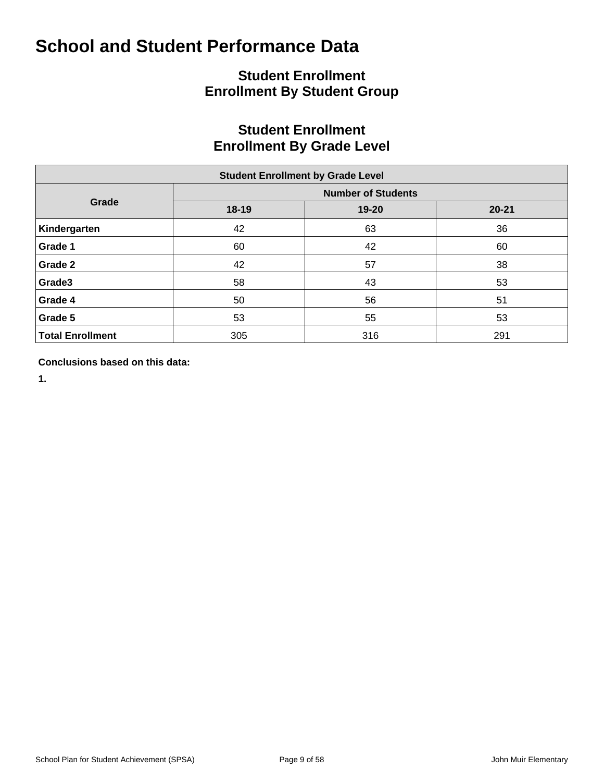## **Student Enrollment Enrollment By Student Group**

## **Student Enrollment Enrollment By Grade Level**

| <b>Student Enrollment by Grade Level</b> |           |                           |           |  |  |  |  |  |  |  |  |
|------------------------------------------|-----------|---------------------------|-----------|--|--|--|--|--|--|--|--|
|                                          |           | <b>Number of Students</b> |           |  |  |  |  |  |  |  |  |
| Grade                                    | $18 - 19$ | 19-20                     | $20 - 21$ |  |  |  |  |  |  |  |  |
| Kindergarten                             | 42        | 63                        | 36        |  |  |  |  |  |  |  |  |
| Grade 1                                  | 60        | 42                        | 60        |  |  |  |  |  |  |  |  |
| Grade 2                                  | 42        | 57                        | 38        |  |  |  |  |  |  |  |  |
| Grade3                                   | 58        | 43                        | 53        |  |  |  |  |  |  |  |  |
| Grade 4                                  | 50        | 56                        | 51        |  |  |  |  |  |  |  |  |
| Grade 5                                  | 53        | 55                        | 53        |  |  |  |  |  |  |  |  |
| <b>Total Enrollment</b>                  | 305       | 316                       | 291       |  |  |  |  |  |  |  |  |

**Conclusions based on this data:**

**1.**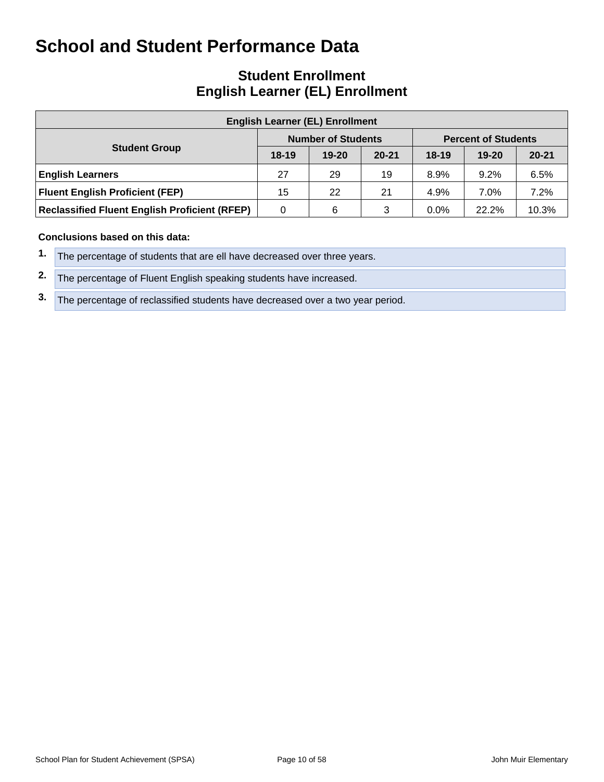## **Student Enrollment English Learner (EL) Enrollment**

| <b>English Learner (EL) Enrollment</b>               |         |                           |           |                            |           |           |  |  |  |  |  |  |
|------------------------------------------------------|---------|---------------------------|-----------|----------------------------|-----------|-----------|--|--|--|--|--|--|
|                                                      |         | <b>Number of Students</b> |           | <b>Percent of Students</b> |           |           |  |  |  |  |  |  |
| <b>Student Group</b>                                 | $18-19$ | $19 - 20$                 | $20 - 21$ | $18-19$                    | $19 - 20$ | $20 - 21$ |  |  |  |  |  |  |
| <b>English Learners</b>                              | 27      | 29                        | 19        | 8.9%                       | 9.2%      | 6.5%      |  |  |  |  |  |  |
| <b>Fluent English Proficient (FEP)</b>               | 15      | 22                        | 21        | 4.9%                       | 7.0%      | 7.2%      |  |  |  |  |  |  |
| <b>Reclassified Fluent English Proficient (RFEP)</b> | 0       | 6                         | 3         | $0.0\%$                    | 22.2%     | 10.3%     |  |  |  |  |  |  |

#### **Conclusions based on this data:**

- **1.** The percentage of students that are ell have decreased over three years.
- **2.** The percentage of Fluent English speaking students have increased.
- **3.** The percentage of reclassified students have decreased over a two year period.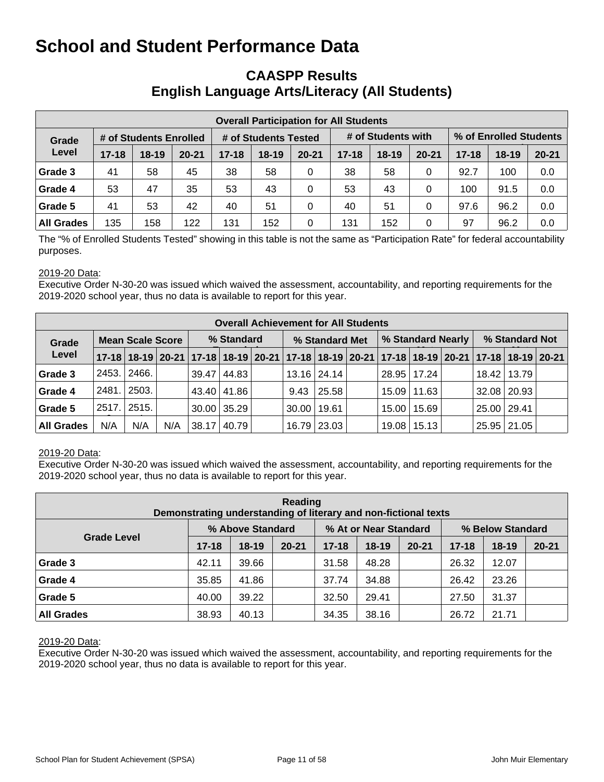### **CAASPP Results English Language Arts/Literacy (All Students)**

| <b>Overall Participation for All Students</b> |           |                        |           |           |                      |           |           |                    |           |                        |           |           |  |
|-----------------------------------------------|-----------|------------------------|-----------|-----------|----------------------|-----------|-----------|--------------------|-----------|------------------------|-----------|-----------|--|
| Grade                                         |           | # of Students Enrolled |           |           | # of Students Tested |           |           | # of Students with |           | % of Enrolled Students |           |           |  |
| Level                                         | $17 - 18$ | $18-19$                | $20 - 21$ | $17 - 18$ | $18 - 19$            | $20 - 21$ | $17 - 18$ | $18 - 19$          | $20 - 21$ | $17 - 18$              | $18 - 19$ | $20 - 21$ |  |
| Grade 3                                       | 41        | 58                     | 45        | 38        | 58                   | 0         | 38        | 58                 | 0         | 92.7                   | 100       | 0.0       |  |
| Grade 4                                       | 53        | 47                     | 35        | 53        | 43                   | 0         | 53        | 43                 | 0         | 100                    | 91.5      | 0.0       |  |
| Grade 5                                       | 41        | 53                     | 42        | 40        | 51                   | 0         | 40        | 51                 | 0         | 97.6                   | 96.2      | 0.0       |  |
| <b>All Grades</b>                             | 135       | 158                    | 122       | 131       | 152                  | 0         | 131       | 152                | 0         | 97                     | 96.2      | 0.0       |  |

The "% of Enrolled Students Tested" showing in this table is not the same as "Participation Rate" for federal accountability purposes.

#### 2019-20 Data:

Executive Order N-30-20 was issued which waived the assessment, accountability, and reporting requirements for the 2019-2020 school year, thus no data is available to report for this year.

|                   | <b>Overall Achievement for All Students</b> |                         |     |            |               |  |                 |               |  |                   |                 |  |                |                                                                                           |  |
|-------------------|---------------------------------------------|-------------------------|-----|------------|---------------|--|-----------------|---------------|--|-------------------|-----------------|--|----------------|-------------------------------------------------------------------------------------------|--|
| Grade             |                                             | <b>Mean Scale Score</b> |     | % Standard |               |  | % Standard Met  |               |  | % Standard Nearly |                 |  | % Standard Not |                                                                                           |  |
| Level             |                                             |                         |     |            |               |  |                 |               |  |                   |                 |  |                | 17-18 18-19 20-21 17-18 18-19 20-21 17-18 18-19 20-21 17-18 18-19 20-21 17-18 18-19 20-21 |  |
| Grade 3           | 2453.                                       | 2466.                   |     |            | 39.47   44.83 |  |                 | 13.16   24.14 |  |                   | $28.95$   17.24 |  |                | 18.42   13.79                                                                             |  |
| Grade 4           | 2481.                                       | 2503.                   |     |            | 43.40 41.86   |  | 9.43            | 25.58         |  | 15.09             | 11.63           |  | 32.08 20.93    |                                                                                           |  |
| Grade 5           | 2517.                                       | 2515.                   |     |            | $30.00$ 35.29 |  | $30.00$   19.61 |               |  |                   | 15.00   15.69   |  | 25.00   29.41  |                                                                                           |  |
| <b>All Grades</b> | N/A                                         | N/A                     | N/A | 38.17      | 40.79         |  |                 | 16.79 23.03   |  |                   | 19.08   15.13   |  | 25.95   21.05  |                                                                                           |  |

#### 2019-20 Data:

Executive Order N-30-20 was issued which waived the assessment, accountability, and reporting requirements for the 2019-2020 school year, thus no data is available to report for this year.

| Reading<br>Demonstrating understanding of literary and non-fictional texts |           |                  |           |           |                       |           |                  |         |           |  |  |  |  |
|----------------------------------------------------------------------------|-----------|------------------|-----------|-----------|-----------------------|-----------|------------------|---------|-----------|--|--|--|--|
|                                                                            |           | % Above Standard |           |           | % At or Near Standard |           | % Below Standard |         |           |  |  |  |  |
| <b>Grade Level</b>                                                         | $17 - 18$ | $18-19$          | $20 - 21$ | $17 - 18$ | $18 - 19$             | $20 - 21$ | $17 - 18$        | $18-19$ | $20 - 21$ |  |  |  |  |
| Grade 3                                                                    | 42.11     | 39.66            |           | 31.58     | 48.28                 |           | 26.32            | 12.07   |           |  |  |  |  |
| Grade 4                                                                    | 35.85     | 41.86            |           | 37.74     | 34.88                 |           | 26.42            | 23.26   |           |  |  |  |  |
| Grade 5                                                                    | 40.00     | 39.22            |           | 32.50     | 29.41                 |           | 27.50            | 31.37   |           |  |  |  |  |
| <b>All Grades</b>                                                          | 38.93     | 40.13            |           | 34.35     | 38.16                 |           | 26.72            | 21.71   |           |  |  |  |  |

#### 2019-20 Data: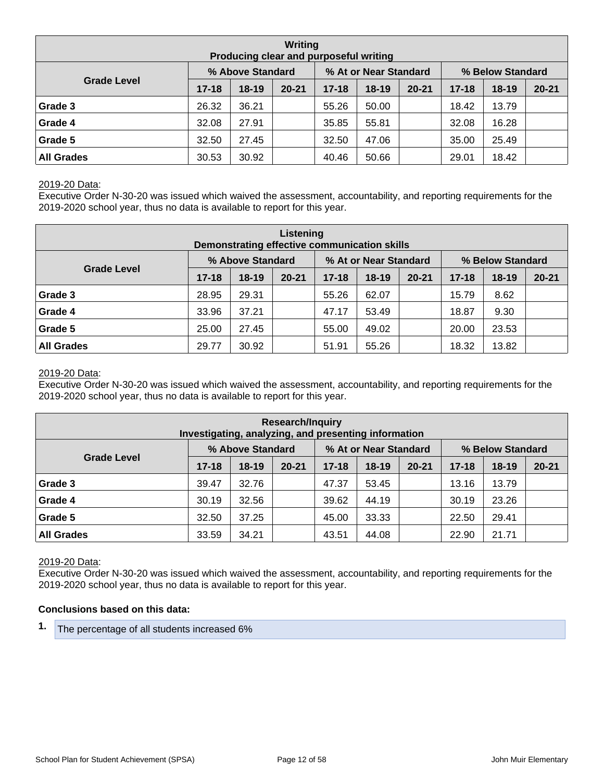| Writing<br>Producing clear and purposeful writing |           |                  |           |           |                       |           |                  |         |           |  |  |  |  |
|---------------------------------------------------|-----------|------------------|-----------|-----------|-----------------------|-----------|------------------|---------|-----------|--|--|--|--|
|                                                   |           | % Above Standard |           |           | % At or Near Standard |           | % Below Standard |         |           |  |  |  |  |
| <b>Grade Level</b>                                | $17 - 18$ | $18-19$          | $20 - 21$ | $17 - 18$ | $18 - 19$             | $20 - 21$ | $17 - 18$        | $18-19$ | $20 - 21$ |  |  |  |  |
| Grade 3                                           | 26.32     | 36.21            |           | 55.26     | 50.00                 |           | 18.42            | 13.79   |           |  |  |  |  |
| Grade 4                                           | 32.08     | 27.91            |           | 35.85     | 55.81                 |           | 32.08            | 16.28   |           |  |  |  |  |
| Grade 5                                           | 32.50     | 27.45            |           | 32.50     | 47.06                 |           | 35.00            | 25.49   |           |  |  |  |  |
| <b>All Grades</b>                                 | 30.53     | 30.92            |           | 40.46     | 50.66                 |           | 29.01            | 18.42   |           |  |  |  |  |

#### 2019-20 Data:

Executive Order N-30-20 was issued which waived the assessment, accountability, and reporting requirements for the 2019-2020 school year, thus no data is available to report for this year.

| Listening<br>Demonstrating effective communication skills |                  |         |           |           |                       |           |                  |         |           |  |  |  |  |
|-----------------------------------------------------------|------------------|---------|-----------|-----------|-----------------------|-----------|------------------|---------|-----------|--|--|--|--|
|                                                           | % Above Standard |         |           |           | % At or Near Standard |           | % Below Standard |         |           |  |  |  |  |
| <b>Grade Level</b>                                        | $17 - 18$        | $18-19$ | $20 - 21$ | $17 - 18$ | $18-19$               | $20 - 21$ | $17 - 18$        | $18-19$ | $20 - 21$ |  |  |  |  |
| Grade 3                                                   | 28.95            | 29.31   |           | 55.26     | 62.07                 |           | 15.79            | 8.62    |           |  |  |  |  |
| Grade 4                                                   | 33.96            | 37.21   |           | 47.17     | 53.49                 |           | 18.87            | 9.30    |           |  |  |  |  |
| Grade 5                                                   | 25.00            | 27.45   |           | 55.00     | 49.02                 |           | 20.00            | 23.53   |           |  |  |  |  |
| <b>All Grades</b>                                         | 29.77            | 30.92   |           | 51.91     | 55.26                 |           | 18.32            | 13.82   |           |  |  |  |  |

#### 2019-20 Data:

Executive Order N-30-20 was issued which waived the assessment, accountability, and reporting requirements for the 2019-2020 school year, thus no data is available to report for this year.

| <b>Research/Inquiry</b><br>Investigating, analyzing, and presenting information |           |                  |           |           |                       |           |                  |           |           |  |  |  |  |
|---------------------------------------------------------------------------------|-----------|------------------|-----------|-----------|-----------------------|-----------|------------------|-----------|-----------|--|--|--|--|
|                                                                                 |           | % Above Standard |           |           | % At or Near Standard |           | % Below Standard |           |           |  |  |  |  |
| <b>Grade Level</b>                                                              | $17 - 18$ | $18-19$          | $20 - 21$ | $17 - 18$ | $18-19$               | $20 - 21$ | $17 - 18$        | $18 - 19$ | $20 - 21$ |  |  |  |  |
| Grade 3                                                                         | 39.47     | 32.76            |           | 47.37     | 53.45                 |           | 13.16            | 13.79     |           |  |  |  |  |
| Grade 4                                                                         | 30.19     | 32.56            |           | 39.62     | 44.19                 |           | 30.19            | 23.26     |           |  |  |  |  |
| Grade 5                                                                         | 32.50     | 37.25            |           | 45.00     | 33.33                 |           | 22.50            | 29.41     |           |  |  |  |  |
| <b>All Grades</b><br>34.21<br>33.59<br>44.08<br>22.90<br>21.71<br>43.51         |           |                  |           |           |                       |           |                  |           |           |  |  |  |  |

#### 2019-20 Data:

Executive Order N-30-20 was issued which waived the assessment, accountability, and reporting requirements for the 2019-2020 school year, thus no data is available to report for this year.

#### **Conclusions based on this data:**

**1.** The percentage of all students increased 6%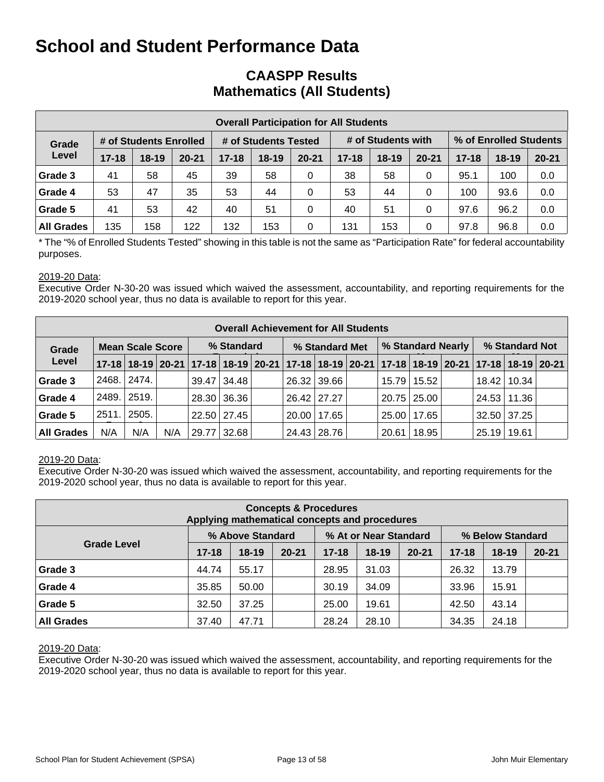### **CAASPP Results Mathematics (All Students)**

| <b>Overall Participation for All Students</b> |           |                        |           |           |                      |           |           |                    |           |                        |           |           |  |
|-----------------------------------------------|-----------|------------------------|-----------|-----------|----------------------|-----------|-----------|--------------------|-----------|------------------------|-----------|-----------|--|
| Grade                                         |           | # of Students Enrolled |           |           | # of Students Tested |           |           | # of Students with |           | % of Enrolled Students |           |           |  |
| Level                                         | $17 - 18$ | $18 - 19$              | $20 - 21$ | $17 - 18$ | $18 - 19$            | $20 - 21$ | $17 - 18$ | $18-19$            | $20 - 21$ | $17 - 18$              | $18 - 19$ | $20 - 21$ |  |
| Grade 3                                       | 41        | 58                     | 45        | 39        | 58                   | 0         | 38        | 58                 | 0         | 95.1                   | 100       | 0.0       |  |
| Grade 4                                       | 53        | 47                     | 35        | 53        | 44                   | 0         | 53        | 44                 | 0         | 100                    | 93.6      | 0.0       |  |
| Grade 5                                       | 41        | 53                     | 42        | 40        | 51                   | 0         | 40        | 51                 | 0         | 97.6                   | 96.2      | 0.0       |  |
| <b>All Grades</b>                             | 135       | 158                    | 122       | 132       | 153                  | $\Omega$  | 131       | 153                | 0         | 97.8                   | 96.8      | 0.0       |  |

\* The "% of Enrolled Students Tested" showing in this table is not the same as "Participation Rate" for federal accountability purposes.

#### 2019-20 Data:

Executive Order N-30-20 was issued which waived the assessment, accountability, and reporting requirements for the 2019-2020 school year, thus no data is available to report for this year.

|                   | <b>Overall Achievement for All Students</b> |                         |     |            |             |  |                                                                                           |                 |  |                   |             |  |                    |       |  |
|-------------------|---------------------------------------------|-------------------------|-----|------------|-------------|--|-------------------------------------------------------------------------------------------|-----------------|--|-------------------|-------------|--|--------------------|-------|--|
| Grade             |                                             | <b>Mean Scale Score</b> |     | % Standard |             |  | % Standard Met                                                                            |                 |  | % Standard Nearly |             |  | % Standard Not     |       |  |
| Level             |                                             |                         |     |            |             |  | 17-18 18-19 20-21 17-18 18-19 20-21 17-18 18-19 20-21 17-18 18-19 20-21 17-18 18-19 20-21 |                 |  |                   |             |  |                    |       |  |
| Grade 3           | 2468.                                       | 2474.                   |     |            | 39.47 34.48 |  |                                                                                           | 26.32 39.66     |  | 15.79             | 15.52       |  | 18.42   10.34      |       |  |
| Grade 4           |                                             | 2489. 2519.             |     |            | 28.30 36.36 |  |                                                                                           | 26.42 27.27     |  |                   | 20.75 25.00 |  | 24.53 11.36        |       |  |
| Grade 5           | 2511.                                       | 2505.                   |     |            | 22.50 27.45 |  |                                                                                           | $20.00$   17.65 |  | 25.00             | 17.65       |  | $32.50 \mid 37.25$ |       |  |
| <b>All Grades</b> | N/A                                         | N/A                     | N/A |            | 29.77 32.68 |  |                                                                                           | 24.43 28.76     |  | 20.61             | 18.95       |  | 25.19              | 19.61 |  |

#### 2019-20 Data:

Executive Order N-30-20 was issued which waived the assessment, accountability, and reporting requirements for the 2019-2020 school year, thus no data is available to report for this year.

| <b>Concepts &amp; Procedures</b><br>Applying mathematical concepts and procedures |           |                  |           |           |                       |           |                  |           |           |  |  |  |  |
|-----------------------------------------------------------------------------------|-----------|------------------|-----------|-----------|-----------------------|-----------|------------------|-----------|-----------|--|--|--|--|
|                                                                                   |           | % Above Standard |           |           | % At or Near Standard |           | % Below Standard |           |           |  |  |  |  |
| <b>Grade Level</b>                                                                | $17 - 18$ | $18 - 19$        | $20 - 21$ | $17 - 18$ | $18 - 19$             | $20 - 21$ | $17 - 18$        | $18 - 19$ | $20 - 21$ |  |  |  |  |
| Grade 3                                                                           | 44.74     | 55.17            |           | 28.95     | 31.03                 |           | 26.32            | 13.79     |           |  |  |  |  |
| Grade 4                                                                           | 35.85     | 50.00            |           | 30.19     | 34.09                 |           | 33.96            | 15.91     |           |  |  |  |  |
| Grade 5                                                                           | 32.50     | 37.25            |           | 25.00     | 19.61                 |           | 42.50            | 43.14     |           |  |  |  |  |
| <b>All Grades</b>                                                                 | 37.40     | 47.71            |           | 28.24     | 28.10                 |           | 34.35            | 24.18     |           |  |  |  |  |

#### 2019-20 Data: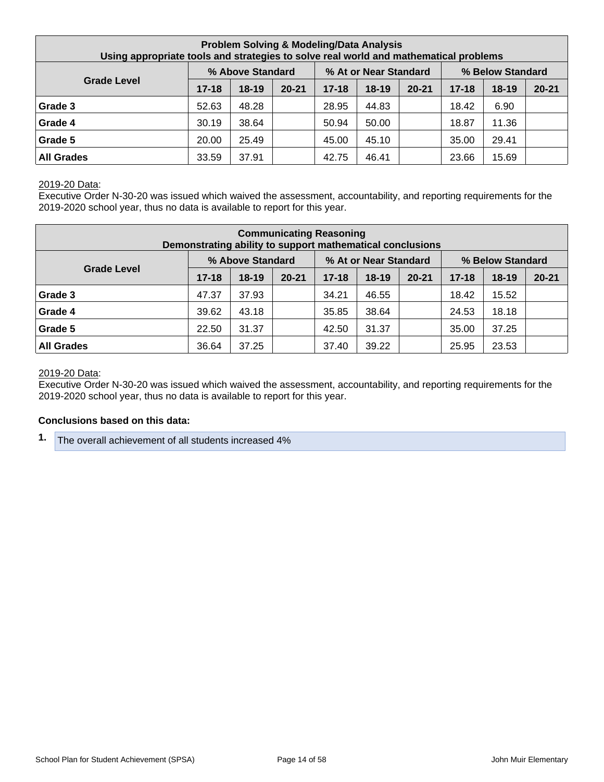| <b>Problem Solving &amp; Modeling/Data Analysis</b><br>Using appropriate tools and strategies to solve real world and mathematical problems |           |                  |           |           |                       |           |           |                  |           |  |  |
|---------------------------------------------------------------------------------------------------------------------------------------------|-----------|------------------|-----------|-----------|-----------------------|-----------|-----------|------------------|-----------|--|--|
|                                                                                                                                             |           | % Above Standard |           |           | % At or Near Standard |           |           | % Below Standard |           |  |  |
| <b>Grade Level</b>                                                                                                                          | $17 - 18$ | $18 - 19$        | $20 - 21$ | $17 - 18$ | $18 - 19$             | $20 - 21$ | $17 - 18$ | $18 - 19$        | $20 - 21$ |  |  |
| Grade 3                                                                                                                                     | 52.63     | 48.28            |           | 28.95     | 44.83                 |           | 18.42     | 6.90             |           |  |  |
| Grade 4                                                                                                                                     | 30.19     | 38.64            |           | 50.94     | 50.00                 |           | 18.87     | 11.36            |           |  |  |
| Grade 5                                                                                                                                     | 20.00     | 25.49            |           | 45.00     | 45.10                 |           | 35.00     | 29.41            |           |  |  |
| <b>All Grades</b>                                                                                                                           | 33.59     | 37.91            |           | 42.75     | 46.41                 |           | 23.66     | 15.69            |           |  |  |

#### 2019-20 Data:

Executive Order N-30-20 was issued which waived the assessment, accountability, and reporting requirements for the 2019-2020 school year, thus no data is available to report for this year.

| <b>Communicating Reasoning</b><br>Demonstrating ability to support mathematical conclusions |           |                  |           |           |                       |           |           |                  |           |  |  |
|---------------------------------------------------------------------------------------------|-----------|------------------|-----------|-----------|-----------------------|-----------|-----------|------------------|-----------|--|--|
|                                                                                             |           | % Above Standard |           |           | % At or Near Standard |           |           | % Below Standard |           |  |  |
| <b>Grade Level</b>                                                                          | $17 - 18$ | $18-19$          | $20 - 21$ | $17 - 18$ | $18 - 19$             | $20 - 21$ | $17 - 18$ | $18 - 19$        | $20 - 21$ |  |  |
| Grade 3                                                                                     | 47.37     | 37.93            |           | 34.21     | 46.55                 |           | 18.42     | 15.52            |           |  |  |
| Grade 4                                                                                     | 39.62     | 43.18            |           | 35.85     | 38.64                 |           | 24.53     | 18.18            |           |  |  |
| Grade 5                                                                                     | 22.50     | 31.37            |           | 42.50     | 31.37                 |           | 35.00     | 37.25            |           |  |  |
| <b>All Grades</b>                                                                           | 36.64     | 37.25            |           | 37.40     | 39.22                 |           | 25.95     | 23.53            |           |  |  |

#### 2019-20 Data:

Executive Order N-30-20 was issued which waived the assessment, accountability, and reporting requirements for the 2019-2020 school year, thus no data is available to report for this year.

#### **Conclusions based on this data:**

**1.** The overall achievement of all students increased 4%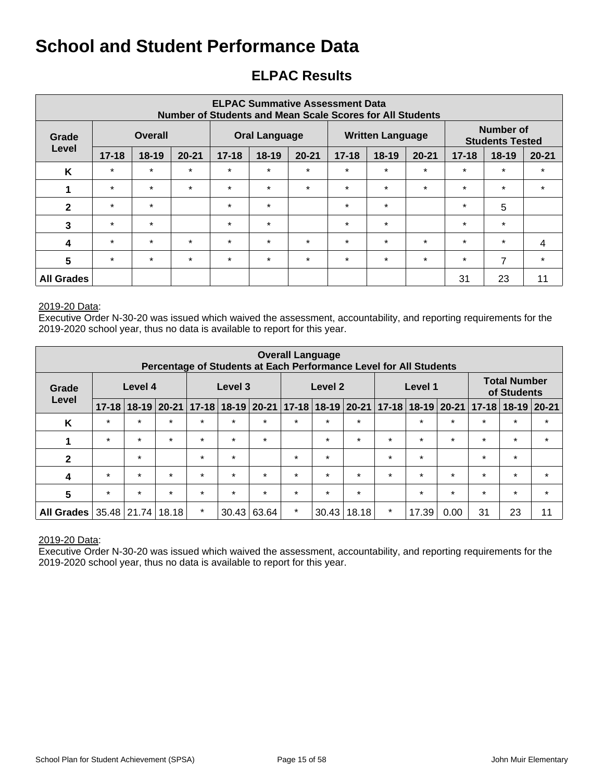## **ELPAC Results**

| <b>ELPAC Summative Assessment Data</b><br><b>Number of Students and Mean Scale Scores for All Students</b> |                         |         |           |           |                      |           |           |                         |           |                                     |         |           |
|------------------------------------------------------------------------------------------------------------|-------------------------|---------|-----------|-----------|----------------------|-----------|-----------|-------------------------|-----------|-------------------------------------|---------|-----------|
| Grade                                                                                                      | <b>Overall</b><br>Level |         |           |           | <b>Oral Language</b> |           |           | <b>Written Language</b> |           | Number of<br><b>Students Tested</b> |         |           |
|                                                                                                            | $17 - 18$               | $18-19$ | $20 - 21$ | $17 - 18$ | $18 - 19$            | $20 - 21$ | $17 - 18$ | $18-19$                 | $20 - 21$ | $17 - 18$                           | $18-19$ | $20 - 21$ |
| K                                                                                                          | $\star$                 | $\star$ | $\star$   | $\star$   | $\star$              | $\star$   | $\star$   | $\star$                 | $\star$   | $\star$                             | $\star$ | $\star$   |
|                                                                                                            | $\star$                 | $\star$ | $\star$   | $\star$   | $\star$              | $\star$   | $\star$   | $\star$                 | $\star$   | $\star$                             | $\star$ | $\star$   |
| $\mathbf{2}$                                                                                               | $\star$                 | $\star$ |           | $\star$   | $\star$              |           | $\star$   | $\star$                 |           | $\star$                             | 5       |           |
| 3                                                                                                          | $\star$                 | $\star$ |           | $\star$   | $\star$              |           | $\star$   | $\star$                 |           | $\star$                             | $\star$ |           |
| $\boldsymbol{4}$                                                                                           | $\star$                 | $\star$ | $\star$   | $\star$   | $\star$              | $\star$   | $\star$   | $\star$                 | $\star$   | $\star$                             | $\star$ | 4         |
| 5                                                                                                          | $\star$                 | $\star$ | $\star$   | $\star$   | $\star$              | $\star$   | $\star$   | $\star$                 | $\star$   | $\star$                             | 7       | $\star$   |
| <b>All Grades</b>                                                                                          |                         |         |           |           |                      |           |           |                         |           | 31                                  | 23      | 11        |

#### 2019-20 Data:

Executive Order N-30-20 was issued which waived the assessment, accountability, and reporting requirements for the 2019-2020 school year, thus no data is available to report for this year.

|                   | <b>Overall Language</b><br>Percentage of Students at Each Performance Level for All Students |         |               |           |           |           |         |                           |         |           |         |               |           |                                    |           |
|-------------------|----------------------------------------------------------------------------------------------|---------|---------------|-----------|-----------|-----------|---------|---------------------------|---------|-----------|---------|---------------|-----------|------------------------------------|-----------|
| Grade             |                                                                                              | Level 4 |               |           | Level 3   |           |         | Level 2                   |         |           | Level 1 |               |           | <b>Total Number</b><br>of Students |           |
| Level             | $17 - 18$                                                                                    |         | $18-19$ 20-21 | $17 - 18$ | $18 - 19$ | $20 - 21$ |         | $17 - 18$ 18 - 19 20 - 21 |         | $17 - 18$ |         | $18-19$ 20-21 | $17 - 18$ | $18 - 19$                          | $ 20-21 $ |
| K                 | $\star$                                                                                      | $\star$ | $\star$       | $\star$   | $\star$   | $\star$   | $\star$ | $\star$                   | $\star$ |           | $\star$ | $\star$       | $\star$   | $\star$                            | $\star$   |
| 1                 | $\star$                                                                                      | $\star$ | $\star$       | $\star$   | $\star$   | $\star$   |         | $\star$                   | $\star$ | $\star$   | $\star$ | $\star$       | $\star$   | $\star$                            | $\star$   |
| $\mathbf{2}$      |                                                                                              | $\star$ |               | $\star$   | $\star$   |           | $\star$ | $\star$                   |         | $\star$   | $\star$ |               | $\star$   | $\star$                            |           |
| 4                 | $\star$                                                                                      | $\star$ | $\star$       | $\star$   | $\star$   | $\star$   | $\star$ | $\star$                   | $\star$ | $\star$   | $\star$ | $\star$       | $\star$   | $\star$                            | $\star$   |
| 5                 | $\star$                                                                                      | $\star$ | $\star$       | $\star$   | $\star$   | $\star$   | $\star$ | $\star$                   | $\star$ |           | $\star$ | $\star$       | $\star$   | $\star$                            | $\star$   |
| <b>All Grades</b> | 35.48                                                                                        | 21.74   | 18.18         | $\star$   | 30.43     | 63.64     | $\star$ | 30.43                     | 18.18   | $\star$   | 17.39   | 0.00          | 31        | 23                                 | 11        |

#### 2019-20 Data: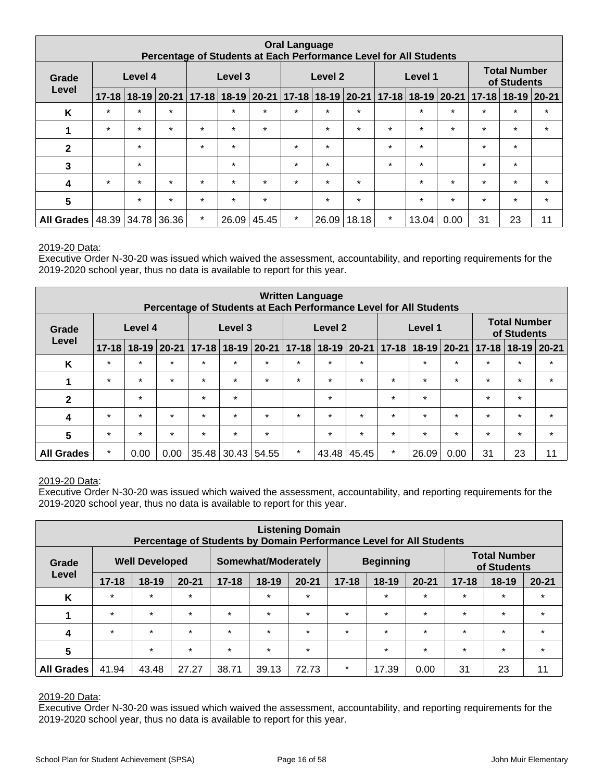| <b>Oral Language</b><br>Percentage of Students at Each Performance Level for All Students |                  |         |         |         |                               |             |                       |         |             |         |         |         |                                     |         |         |
|-------------------------------------------------------------------------------------------|------------------|---------|---------|---------|-------------------------------|-------------|-----------------------|---------|-------------|---------|---------|---------|-------------------------------------|---------|---------|
| Grade                                                                                     | Level 4<br>Level |         |         |         | Level 3                       |             |                       | Level 2 |             |         | Level 1 |         | <b>Total Number</b><br>of Students  |         |         |
|                                                                                           | $17 - 18$        |         |         |         | 18-19 20-21 17-18 18-19 20-21 |             | $ 17-18 18-19 20-21 $ |         |             |         |         |         | 17-18 18-19 20-21 17-18 18-19 20-21 |         |         |
| K                                                                                         | $\star$          | $\star$ | $\star$ |         | $\star$                       | $\star$     | $\star$               | $\star$ | $\star$     |         | $\star$ | $\star$ | $\star$                             | $\star$ | $\star$ |
| 1                                                                                         | $\star$          | $\star$ | $\star$ | $\star$ | $\star$                       | $\star$     |                       | $\star$ | $\star$     | $\star$ | $\star$ | $\star$ | $\star$                             | $\star$ | $\star$ |
| 2                                                                                         |                  | $\star$ |         | $\star$ | $\star$                       |             | $\star$               | $\star$ |             | $\star$ | $\star$ |         | $\star$                             | $\star$ |         |
| 3                                                                                         |                  | $\star$ |         |         | $\star$                       |             | $\star$               | $\star$ |             | $\star$ | $\star$ |         | $\star$                             | $\star$ |         |
| 4                                                                                         | $\star$          | $\star$ | $\star$ | $\star$ | $\star$                       | $\star$     | $\star$               | $\star$ | $\star$     |         | $\star$ | $\star$ | $\star$                             | $\star$ | $\star$ |
| 5                                                                                         |                  | $\star$ | $\star$ | $\star$ | $\star$                       | $\star$     |                       | $\star$ | $\star$     |         | $\star$ | $\star$ | $\star$                             | $\star$ | $\star$ |
| All Grades   48.39   34.78   36.36                                                        |                  |         |         | $\star$ |                               | 26.09 45.45 | $\star$               |         | 26.09 18.18 | $\star$ | 13.04   | 0.00    | 31                                  | 23      | 11      |

#### 2019-20 Data:

Executive Order N-30-20 was issued which waived the assessment, accountability, and reporting requirements for the 2019-2020 school year, thus no data is available to report for this year.

|                   | <b>Written Language</b><br>Percentage of Students at Each Performance Level for All Students |           |           |                    |           |           |         |                       |         |           |               |                                    |           |                 |         |
|-------------------|----------------------------------------------------------------------------------------------|-----------|-----------|--------------------|-----------|-----------|---------|-----------------------|---------|-----------|---------------|------------------------------------|-----------|-----------------|---------|
| Grade             |                                                                                              | Level 4   |           | Level 3<br>Level 2 |           |           |         |                       | Level 1 |           |               | <b>Total Number</b><br>of Students |           |                 |         |
| Level             | $17 - 18$                                                                                    | $18 - 19$ | $20 - 21$ | $17 - 18$          | $18 - 19$ | $20 - 21$ |         | $17 - 18$ 18-19 20-21 |         | $17 - 18$ | $18-19$ 20-21 |                                    | $17 - 18$ | $18-19$   20-21 |         |
| K                 | $\star$                                                                                      | $\star$   | $\star$   | $\star$            | $\star$   | $\star$   | $\star$ | $\star$               | $\star$ |           | $\star$       | $\star$                            | $\star$   | $\star$         | $\star$ |
| 1                 | $\star$                                                                                      | $\star$   | $\star$   | $\star$            | $\star$   | $\star$   | $\star$ | $\star$               | $\star$ | $\star$   | $\star$       | $\star$                            | $\star$   | $\star$         | $\star$ |
| $\mathbf{2}$      |                                                                                              | $\star$   |           | $\star$            | $\star$   |           |         | $\star$               |         | $\star$   | $\star$       |                                    | $\star$   | $\star$         |         |
| 4                 | $\star$                                                                                      | $\star$   | $\star$   | $\star$            | $\star$   | $\star$   | $\star$ | $\star$               | $\star$ | $\star$   | $\star$       | $\star$                            | $\star$   | $\star$         | $\star$ |
| 5                 | $\star$                                                                                      | $\star$   | $\star$   | $\star$            | $\star$   | $\star$   |         | $\star$               | $\star$ | $\star$   | $\star$       | $\star$                            | $\star$   | $\star$         | $\star$ |
| <b>All Grades</b> | $\star$                                                                                      | 0.00      | 0.00      | 35.48              | 30.43     | 54.55     | $\star$ | 43.48                 | 45.45   | $\star$   | 26.09         | 0.00                               | 31        | 23              | 11      |

#### 2019-20 Data:

Executive Order N-30-20 was issued which waived the assessment, accountability, and reporting requirements for the 2019-2020 school year, thus no data is available to report for this year.

|                   | <b>Listening Domain</b><br>Percentage of Students by Domain Performance Level for All Students |                       |           |                                         |           |           |           |         |                                    |           |           |           |
|-------------------|------------------------------------------------------------------------------------------------|-----------------------|-----------|-----------------------------------------|-----------|-----------|-----------|---------|------------------------------------|-----------|-----------|-----------|
| Grade             |                                                                                                | <b>Well Developed</b> |           | <b>Beginning</b><br>Somewhat/Moderately |           |           |           |         | <b>Total Number</b><br>of Students |           |           |           |
| Level             | $17 - 18$                                                                                      | $18 - 19$             | $20 - 21$ | $17 - 18$                               | $18 - 19$ | $20 - 21$ | $17 - 18$ | $18-19$ | $20 - 21$                          | $17 - 18$ | $18 - 19$ | $20 - 21$ |
| K                 | $\star$                                                                                        | $\star$               | $\star$   |                                         | $\star$   | $\star$   |           | $\star$ | $\star$                            | $\star$   | $\star$   | $\star$   |
|                   | $\star$                                                                                        | $\star$               | $\star$   | $\star$                                 | $\star$   | $\star$   | $\star$   | $\star$ | $\star$                            | $\star$   | $\star$   | $\star$   |
| 4                 | $\star$                                                                                        | $\star$               | $\star$   | $\star$                                 | $\star$   | $\star$   | $\star$   | $\star$ | $\star$                            | $\star$   | $\star$   | $\star$   |
| 5                 |                                                                                                | $\star$               | $\star$   | $\star$                                 | $\star$   | $\star$   |           | $\star$ | $\star$                            | $\star$   | $\star$   | $\star$   |
| <b>All Grades</b> | 41.94                                                                                          | 43.48                 | 27.27     | 38.71                                   | 39.13     | 72.73     | $\ast$    | 17.39   | 0.00                               | 31        | 23        | 11        |

#### 2019-20 Data: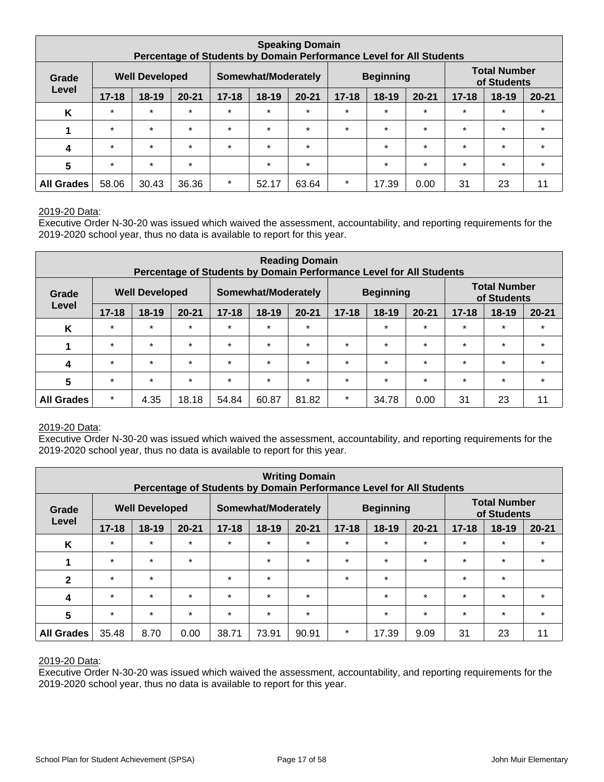|                         | <b>Speaking Domain</b><br>Percentage of Students by Domain Performance Level for All Students |                       |           |                                         |         |           |           |           |           |                                    |           |           |
|-------------------------|-----------------------------------------------------------------------------------------------|-----------------------|-----------|-----------------------------------------|---------|-----------|-----------|-----------|-----------|------------------------------------|-----------|-----------|
| Grade                   |                                                                                               | <b>Well Developed</b> |           | <b>Beginning</b><br>Somewhat/Moderately |         |           |           |           |           | <b>Total Number</b><br>of Students |           |           |
| Level                   | $17 - 18$                                                                                     | $18 - 19$             | $20 - 21$ | $17 - 18$                               | 18-19   | $20 - 21$ | $17 - 18$ | $18 - 19$ | $20 - 21$ | $17 - 18$                          | $18 - 19$ | $20 - 21$ |
| K                       | $\star$                                                                                       | $\star$               | $\star$   | $\star$                                 | $\star$ | $\star$   | $\star$   | $\star$   | $\star$   | $\star$                            | $\star$   | $\star$   |
|                         | $\star$                                                                                       | $\star$               | $\star$   | $\star$                                 | $\star$ | $\star$   | $\star$   | $\star$   | $\star$   | $\star$                            | $\star$   | $\star$   |
| 4                       | $\star$                                                                                       | $\star$               | $\star$   | $\star$                                 | $\star$ | $\star$   |           | $\star$   | $\star$   | $\star$                            | $\star$   | $\star$   |
| $\overline{\mathbf{5}}$ | $\star$                                                                                       | $\star$               | $\star$   |                                         | $\star$ | $\star$   |           | $\star$   | $\star$   | $\star$                            | $\star$   | $\star$   |
| <b>All Grades</b>       | 58.06                                                                                         | 30.43                 | 36.36     | $\star$                                 | 52.17   | 63.64     | $\star$   | 17.39     | 0.00      | 31                                 | 23        | 11        |

#### 2019-20 Data:

Executive Order N-30-20 was issued which waived the assessment, accountability, and reporting requirements for the 2019-2020 school year, thus no data is available to report for this year.

|                   | <b>Reading Domain</b><br>Percentage of Students by Domain Performance Level for All Students |           |           |           |           |           |           |                  |           |           |                                    |           |
|-------------------|----------------------------------------------------------------------------------------------|-----------|-----------|-----------|-----------|-----------|-----------|------------------|-----------|-----------|------------------------------------|-----------|
| Grade             | <b>Well Developed</b><br>Somewhat/Moderately<br>Level                                        |           |           |           |           |           |           | <b>Beginning</b> |           |           | <b>Total Number</b><br>of Students |           |
|                   | $17 - 18$                                                                                    | $18 - 19$ | $20 - 21$ | $17 - 18$ | $18 - 19$ | $20 - 21$ | $17 - 18$ | $18-19$          | $20 - 21$ | $17 - 18$ | $18 - 19$                          | $20 - 21$ |
| K                 | $\star$                                                                                      | $\star$   | $\star$   | $\star$   | $\star$   | $\star$   |           | $\star$          | $\star$   | $\star$   | $\star$                            | $\star$   |
| 1                 | $\star$                                                                                      | $\star$   | $\star$   | $\star$   | $\star$   | $\star$   | $\star$   | $\star$          | $\star$   | $\star$   | $\star$                            | $\star$   |
| 4                 | $\star$                                                                                      | $\star$   | $\star$   | $\star$   | $\star$   | $\star$   | $\star$   | $\star$          | $\star$   | $\star$   | $\star$                            | $\star$   |
| 5                 | $\star$                                                                                      | $\star$   | $\star$   | $\star$   | $\star$   | $\star$   | $\star$   | $\star$          | $\star$   | $\star$   | $\star$                            | $\star$   |
| <b>All Grades</b> | $\star$                                                                                      | 4.35      | 18.18     | 54.84     | 60.87     | 81.82     | $\star$   | 34.78            | 0.00      | 31        | 23                                 | 11        |

#### 2019-20 Data:

Executive Order N-30-20 was issued which waived the assessment, accountability, and reporting requirements for the 2019-2020 school year, thus no data is available to report for this year.

| <b>Writing Domain</b><br>Percentage of Students by Domain Performance Level for All Students |           |                       |           |           |                     |           |           |                  |           |           |                                    |           |  |
|----------------------------------------------------------------------------------------------|-----------|-----------------------|-----------|-----------|---------------------|-----------|-----------|------------------|-----------|-----------|------------------------------------|-----------|--|
| Grade                                                                                        |           | <b>Well Developed</b> |           |           | Somewhat/Moderately |           |           | <b>Beginning</b> |           |           | <b>Total Number</b><br>of Students |           |  |
| Level                                                                                        | $17 - 18$ | $18 - 19$             | $20 - 21$ | $17 - 18$ | 18-19               | $20 - 21$ | $17 - 18$ | $18-19$          | $20 - 21$ | $17 - 18$ | $18 - 19$                          | $20 - 21$ |  |
| K                                                                                            | $\star$   | $\star$               | $\star$   | $\star$   | $\star$             | $\star$   | $\star$   | $\star$          | $\star$   | $\star$   | $\star$                            | $\star$   |  |
|                                                                                              | $\star$   | $\star$               | $\star$   |           | $\star$             | $\star$   | $\star$   | $\star$          | $\star$   | $\star$   | $\star$                            | $\star$   |  |
| $\mathbf{2}$                                                                                 | $\star$   | $\star$               |           | $\star$   | $\star$             |           | $\ast$    | $\star$          |           | $\star$   | $\star$                            |           |  |
| $\boldsymbol{4}$                                                                             | $\star$   | $\star$               | $\star$   | $\star$   | $\star$             | $\star$   |           | $\star$          | $\star$   | $\star$   | $\star$                            | $\star$   |  |
| 5                                                                                            | $\star$   | $\star$               | $\star$   | $\star$   | $\star$             | $\star$   |           | $\star$          | $\star$   | $\star$   | $\star$                            | $\star$   |  |
| <b>All Grades</b>                                                                            | 35.48     | 8.70                  | 0.00      | 38.71     | 73.91               | 90.91     | $\star$   | 17.39            | 9.09      | 31        | 23                                 | 11        |  |

#### 2019-20 Data: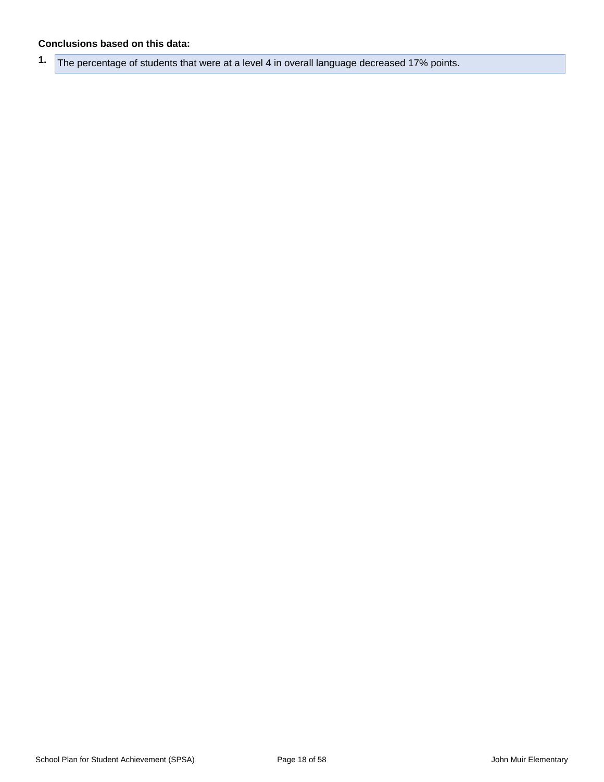#### **Conclusions based on this data:**

**1.** The percentage of students that were at a level 4 in overall language decreased 17% points.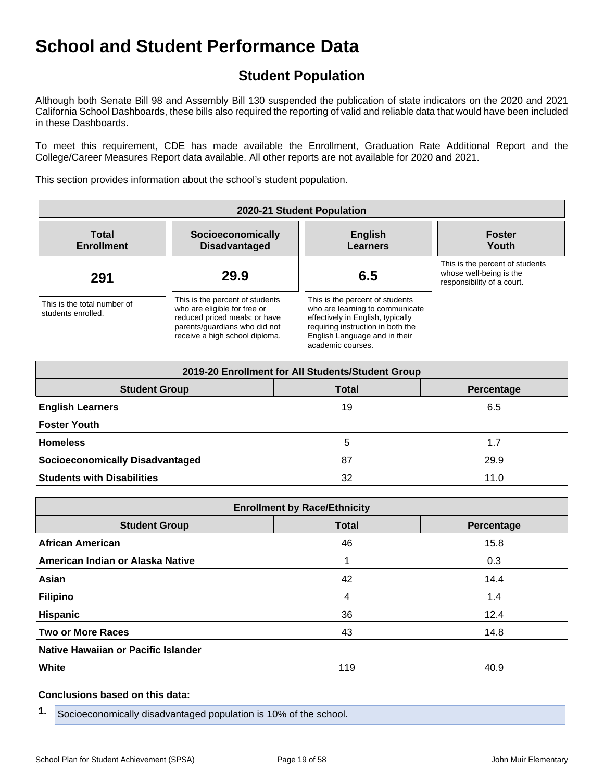## **Student Population**

Although both Senate Bill 98 and Assembly Bill 130 suspended the publication of state indicators on the 2020 and 2021 California School Dashboards, these bills also required the reporting of valid and reliable data that would have been included in these Dashboards.

To meet this requirement, CDE has made available the Enrollment, Graduation Rate Additional Report and the College/Career Measures Report data available. All other reports are not available for 2020 and 2021.

This section provides information about the school's student population.

| 2020-21 Student Population                        |                                                                                                                                                                     |                                                                                                                                                                                                    |                                                                                          |  |  |  |  |  |
|---------------------------------------------------|---------------------------------------------------------------------------------------------------------------------------------------------------------------------|----------------------------------------------------------------------------------------------------------------------------------------------------------------------------------------------------|------------------------------------------------------------------------------------------|--|--|--|--|--|
| <b>Total</b><br><b>Enrollment</b>                 | Socioeconomically<br><b>Disadvantaged</b>                                                                                                                           | <b>English</b><br><b>Learners</b>                                                                                                                                                                  | <b>Foster</b><br>Youth                                                                   |  |  |  |  |  |
| 291                                               | 29.9                                                                                                                                                                | 6.5                                                                                                                                                                                                | This is the percent of students<br>whose well-being is the<br>responsibility of a court. |  |  |  |  |  |
| This is the total number of<br>students enrolled. | This is the percent of students<br>who are eligible for free or<br>reduced priced meals; or have<br>parents/quardians who did not<br>receive a high school diploma. | This is the percent of students<br>who are learning to communicate<br>effectively in English, typically<br>requiring instruction in both the<br>English Language and in their<br>academic courses. |                                                                                          |  |  |  |  |  |

| 2019-20 Enrollment for All Students/Student Group |              |            |  |  |  |  |  |  |  |
|---------------------------------------------------|--------------|------------|--|--|--|--|--|--|--|
| <b>Student Group</b>                              | <b>Total</b> | Percentage |  |  |  |  |  |  |  |
| <b>English Learners</b>                           | 19           | 6.5        |  |  |  |  |  |  |  |
| <b>Foster Youth</b>                               |              |            |  |  |  |  |  |  |  |
| <b>Homeless</b>                                   | 5            | 1.7        |  |  |  |  |  |  |  |
| <b>Socioeconomically Disadvantaged</b>            | 87           | 29.9       |  |  |  |  |  |  |  |
| <b>Students with Disabilities</b>                 | 32           | 11.0       |  |  |  |  |  |  |  |

| <b>Enrollment by Race/Ethnicity</b>                |     |      |  |  |
|----------------------------------------------------|-----|------|--|--|
| <b>Total</b><br><b>Student Group</b><br>Percentage |     |      |  |  |
| <b>African American</b>                            | 46  | 15.8 |  |  |
| American Indian or Alaska Native                   |     | 0.3  |  |  |
| Asian                                              | 42  | 14.4 |  |  |
| <b>Filipino</b>                                    | 4   | 1.4  |  |  |
| <b>Hispanic</b>                                    | 36  | 12.4 |  |  |
| <b>Two or More Races</b>                           | 43  | 14.8 |  |  |
| Native Hawaiian or Pacific Islander                |     |      |  |  |
| White                                              | 119 | 40.9 |  |  |

#### **Conclusions based on this data:**

**1.** Socioeconomically disadvantaged population is 10% of the school.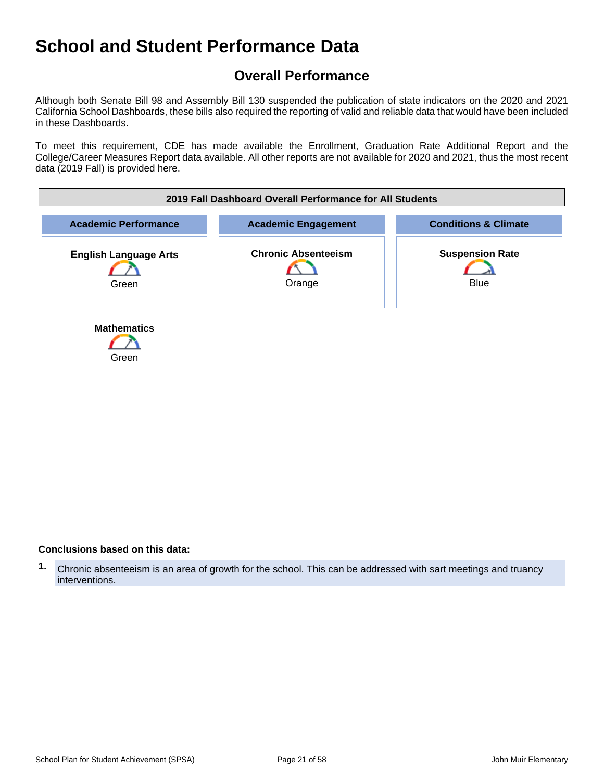## **Overall Performance**

Although both Senate Bill 98 and Assembly Bill 130 suspended the publication of state indicators on the 2020 and 2021 California School Dashboards, these bills also required the reporting of valid and reliable data that would have been included in these Dashboards.

To meet this requirement, CDE has made available the Enrollment, Graduation Rate Additional Report and the College/Career Measures Report data available. All other reports are not available for 2020 and 2021, thus the most recent data (2019 Fall) is provided here.

| 2019 Fall Dashboard Overall Performance for All Students |                                      |                                       |  |
|----------------------------------------------------------|--------------------------------------|---------------------------------------|--|
| <b>Academic Performance</b>                              | <b>Academic Engagement</b>           | <b>Conditions &amp; Climate</b>       |  |
| <b>English Language Arts</b><br>Green                    | <b>Chronic Absenteeism</b><br>Orange | <b>Suspension Rate</b><br><b>Blue</b> |  |
| <b>Mathematics</b><br>Green                              |                                      |                                       |  |

#### **Conclusions based on this data:**

**1.** Chronic absenteeism is an area of growth for the school. This can be addressed with sart meetings and truancy interventions.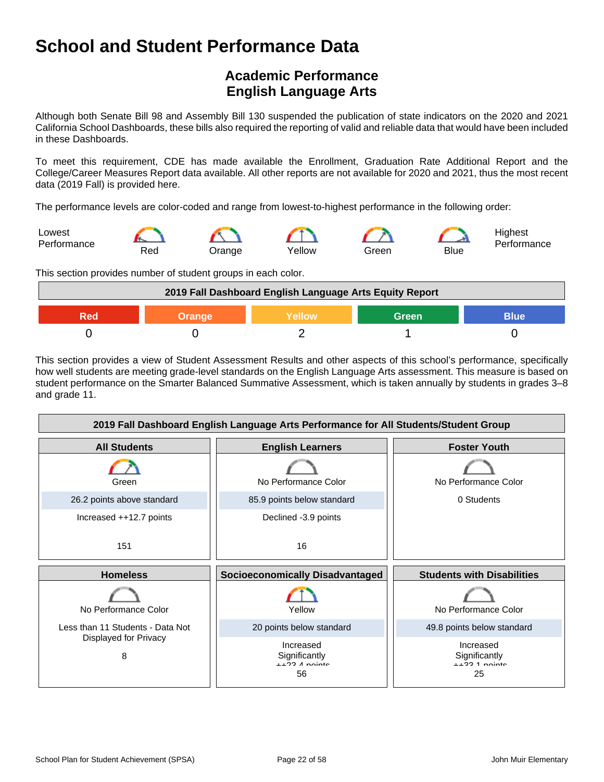## **Academic Performance English Language Arts**

Although both Senate Bill 98 and Assembly Bill 130 suspended the publication of state indicators on the 2020 and 2021 California School Dashboards, these bills also required the reporting of valid and reliable data that would have been included in these Dashboards.

To meet this requirement, CDE has made available the Enrollment, Graduation Rate Additional Report and the College/Career Measures Report data available. All other reports are not available for 2020 and 2021, thus the most recent data (2019 Fall) is provided here.

The performance levels are color-coded and range from lowest-to-highest performance in the following order:



This section provides number of student groups in each color.

| 2019 Fall Dashboard English Language Arts Equity Report |  |  |  |  |
|---------------------------------------------------------|--|--|--|--|
| <b>Green</b><br><b>Blue</b><br><b>Yellow</b><br>Orange  |  |  |  |  |
|                                                         |  |  |  |  |

This section provides a view of Student Assessment Results and other aspects of this school's performance, specifically how well students are meeting grade-level standards on the English Language Arts assessment. This measure is based on student performance on the Smarter Balanced Summative Assessment, which is taken annually by students in grades 3–8 and grade 11.

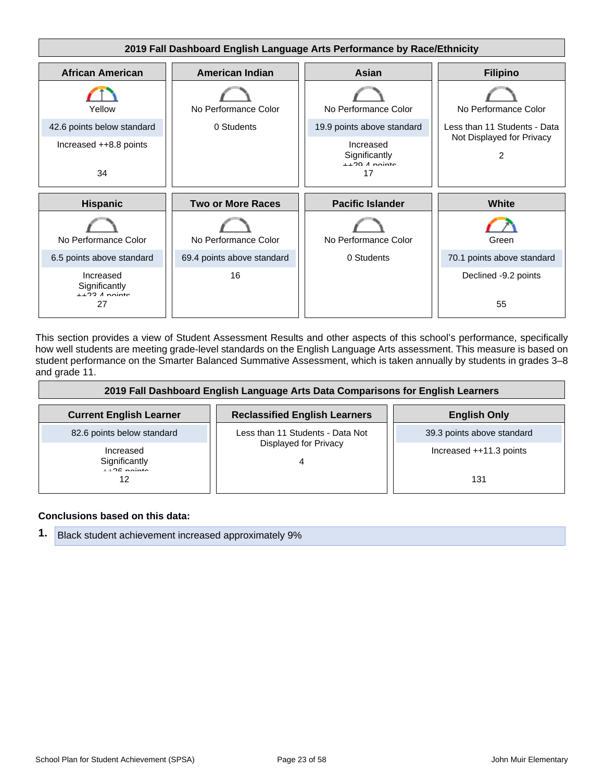

This section provides a view of Student Assessment Results and other aspects of this school's performance, specifically how well students are meeting grade-level standards on the English Language Arts assessment. This measure is based on student performance on the Smarter Balanced Summative Assessment, which is taken annually by students in grades 3–8 and grade 11.

| 2019 Fall Dashboard English Language Arts Data Comparisons for English Learners |                                      |                            |
|---------------------------------------------------------------------------------|--------------------------------------|----------------------------|
| <b>Current English Learner</b>                                                  | <b>Reclassified English Learners</b> | <b>English Only</b>        |
| 82.6 points below standard                                                      | Less than 11 Students - Data Not     | 39.3 points above standard |
| Increased<br>Significantly                                                      | Displayed for Privacy                | Increased $++11.3$ points  |
| $1.26$ points<br>12                                                             |                                      | 131                        |

#### **Conclusions based on this data:**

**1.** Black student achievement increased approximately 9%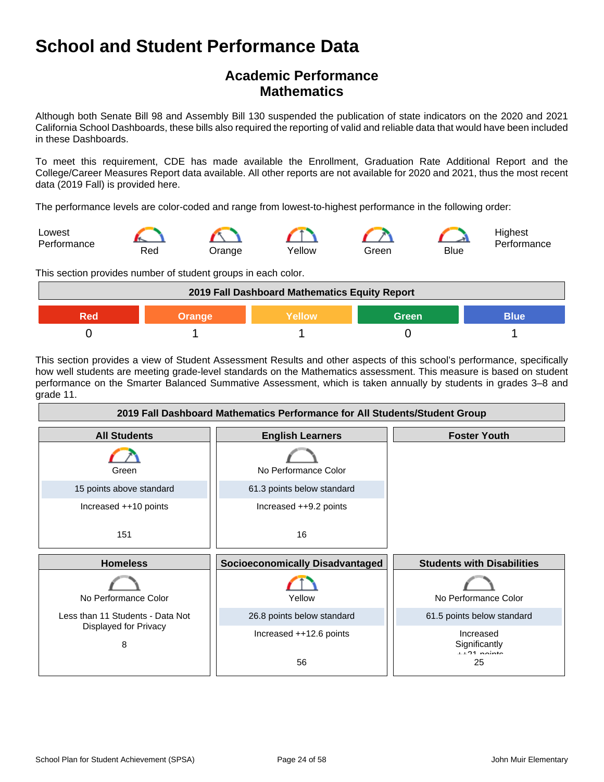## **Academic Performance Mathematics**

Although both Senate Bill 98 and Assembly Bill 130 suspended the publication of state indicators on the 2020 and 2021 California School Dashboards, these bills also required the reporting of valid and reliable data that would have been included in these Dashboards.

To meet this requirement, CDE has made available the Enrollment, Graduation Rate Additional Report and the College/Career Measures Report data available. All other reports are not available for 2020 and 2021, thus the most recent data (2019 Fall) is provided here.

The performance levels are color-coded and range from lowest-to-highest performance in the following order:



This section provides number of student groups in each color.



This section provides a view of Student Assessment Results and other aspects of this school's performance, specifically how well students are meeting grade-level standards on the Mathematics assessment. This measure is based on student performance on the Smarter Balanced Summative Assessment, which is taken annually by students in grades 3–8 and grade 11.

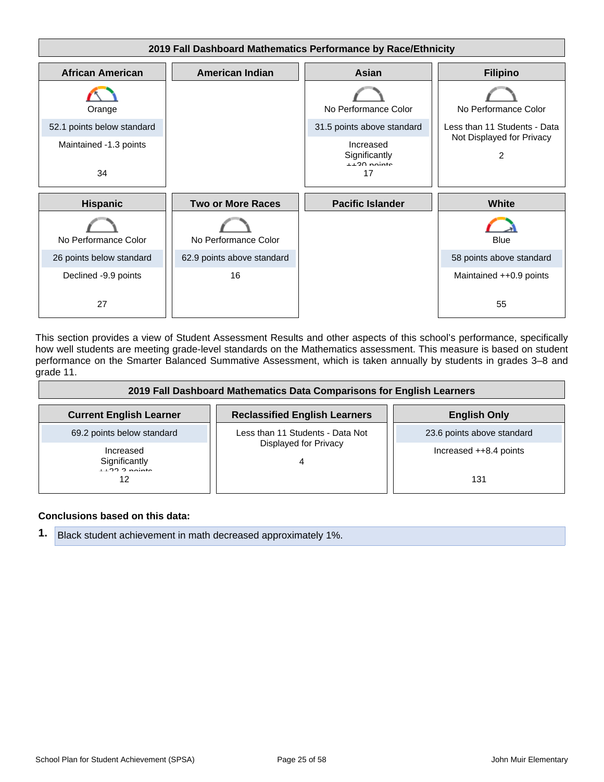

This section provides a view of Student Assessment Results and other aspects of this school's performance, specifically how well students are meeting grade-level standards on the Mathematics assessment. This measure is based on student performance on the Smarter Balanced Summative Assessment, which is taken annually by students in grades 3–8 and grade 11.

| 2019 Fall Dashboard Mathematics Data Comparisons for English Learners |                                      |                            |
|-----------------------------------------------------------------------|--------------------------------------|----------------------------|
| <b>Current English Learner</b>                                        | <b>Reclassified English Learners</b> | <b>English Only</b>        |
| 69.2 points below standard                                            | Less than 11 Students - Data Not     | 23.6 points above standard |
| Increased<br>Significantly                                            | Displayed for Privacy                | Increased ++8.4 points     |
| $11222$ points<br>12                                                  |                                      | 131                        |

#### **Conclusions based on this data:**

**1.** Black student achievement in math decreased approximately 1%.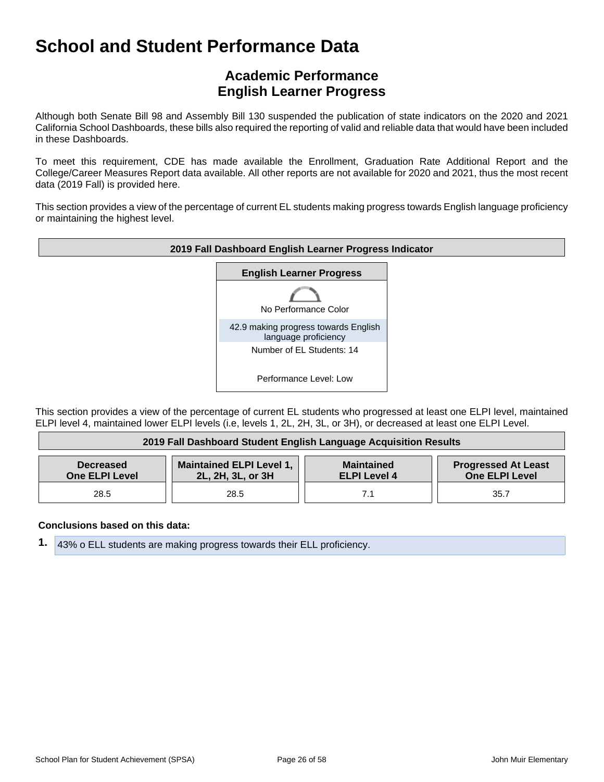## **Academic Performance English Learner Progress**

Although both Senate Bill 98 and Assembly Bill 130 suspended the publication of state indicators on the 2020 and 2021 California School Dashboards, these bills also required the reporting of valid and reliable data that would have been included in these Dashboards.

To meet this requirement, CDE has made available the Enrollment, Graduation Rate Additional Report and the College/Career Measures Report data available. All other reports are not available for 2020 and 2021, thus the most recent data (2019 Fall) is provided here.

This section provides a view of the percentage of current EL students making progress towards English language proficiency or maintaining the highest level.



This section provides a view of the percentage of current EL students who progressed at least one ELPI level, maintained ELPI level 4, maintained lower ELPI levels (i.e, levels 1, 2L, 2H, 3L, or 3H), or decreased at least one ELPI Level.

| 2019 Fall Dashboard Student English Language Acquisition Results |                                                      |                                          |                                                     |
|------------------------------------------------------------------|------------------------------------------------------|------------------------------------------|-----------------------------------------------------|
| <b>Decreased</b><br><b>One ELPI Level</b>                        | <b>Maintained ELPI Level 1,</b><br>2L, 2H, 3L, or 3H | <b>Maintained</b><br><b>ELPI Level 4</b> | <b>Progressed At Least</b><br><b>One ELPI Level</b> |
| 28.5                                                             | 28.5                                                 |                                          | 35.7                                                |

#### **Conclusions based on this data:**

**1.** 43% o ELL students are making progress towards their ELL proficiency.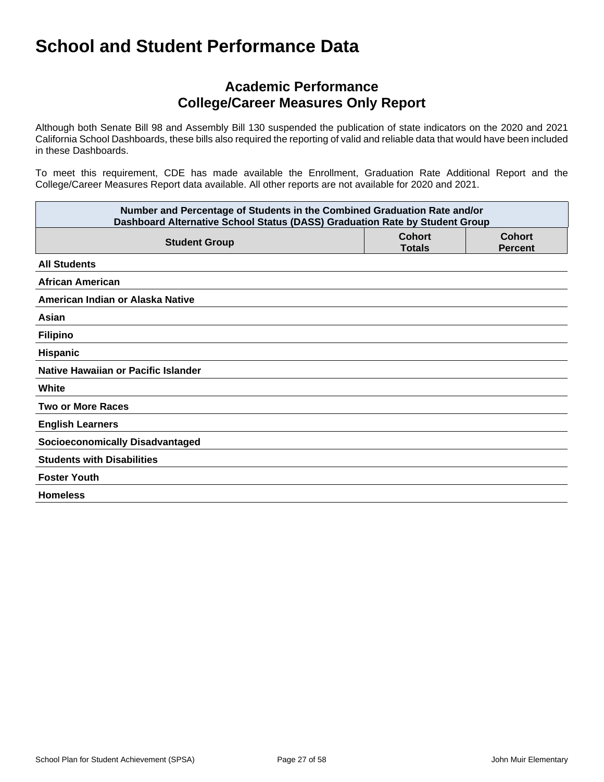### **Academic Performance College/Career Measures Only Report**

Although both Senate Bill 98 and Assembly Bill 130 suspended the publication of state indicators on the 2020 and 2021 California School Dashboards, these bills also required the reporting of valid and reliable data that would have been included in these Dashboards.

To meet this requirement, CDE has made available the Enrollment, Graduation Rate Additional Report and the College/Career Measures Report data available. All other reports are not available for 2020 and 2021.

| Number and Percentage of Students in the Combined Graduation Rate and/or<br>Dashboard Alternative School Status (DASS) Graduation Rate by Student Group |  |  |
|---------------------------------------------------------------------------------------------------------------------------------------------------------|--|--|
| <b>Cohort</b><br><b>Cohort</b><br><b>Student Group</b><br><b>Totals</b><br><b>Percent</b>                                                               |  |  |
| <b>All Students</b>                                                                                                                                     |  |  |
| <b>African American</b>                                                                                                                                 |  |  |
| American Indian or Alaska Native                                                                                                                        |  |  |
| Asian                                                                                                                                                   |  |  |
| <b>Filipino</b>                                                                                                                                         |  |  |
| Hispanic                                                                                                                                                |  |  |
| Native Hawaiian or Pacific Islander                                                                                                                     |  |  |
| White                                                                                                                                                   |  |  |
| <b>Two or More Races</b>                                                                                                                                |  |  |
| <b>English Learners</b>                                                                                                                                 |  |  |
| <b>Socioeconomically Disadvantaged</b>                                                                                                                  |  |  |
| <b>Students with Disabilities</b>                                                                                                                       |  |  |
| <b>Foster Youth</b>                                                                                                                                     |  |  |
| <b>Homeless</b>                                                                                                                                         |  |  |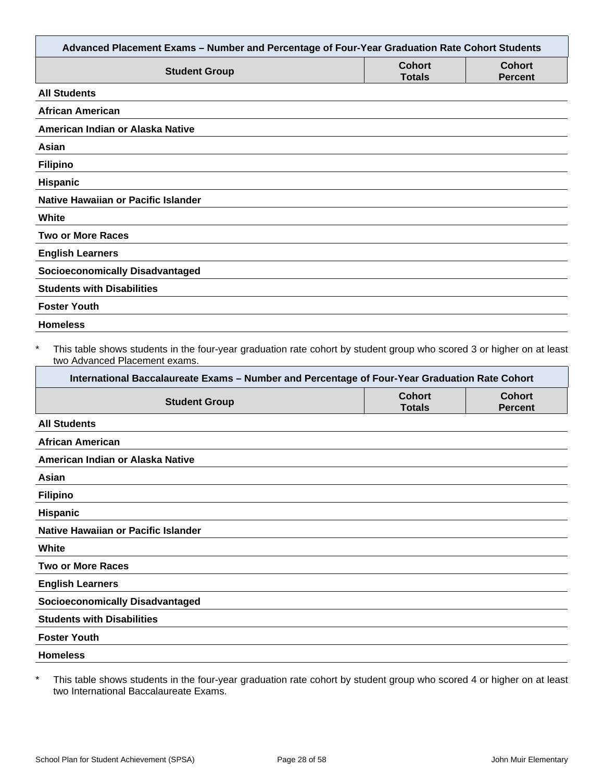|                                                                                                                                                                                                                                                                   |                                | Advanced Placement Exams - Number and Percentage of Four-Year Graduation Rate Cohort Students |
|-------------------------------------------------------------------------------------------------------------------------------------------------------------------------------------------------------------------------------------------------------------------|--------------------------------|-----------------------------------------------------------------------------------------------|
| <b>Student Group</b>                                                                                                                                                                                                                                              | <b>Cohort</b><br><b>Totals</b> | <b>Cohort</b><br><b>Percent</b>                                                               |
| <b>All Students</b>                                                                                                                                                                                                                                               |                                |                                                                                               |
| <b>African American</b>                                                                                                                                                                                                                                           |                                |                                                                                               |
| American Indian or Alaska Native                                                                                                                                                                                                                                  |                                |                                                                                               |
| Asian                                                                                                                                                                                                                                                             |                                |                                                                                               |
| <b>Filipino</b>                                                                                                                                                                                                                                                   |                                |                                                                                               |
| Hispanic                                                                                                                                                                                                                                                          |                                |                                                                                               |
| <b>Native Hawaiian or Pacific Islander</b>                                                                                                                                                                                                                        |                                |                                                                                               |
| White                                                                                                                                                                                                                                                             |                                |                                                                                               |
| <b>Two or More Races</b>                                                                                                                                                                                                                                          |                                |                                                                                               |
| <b>English Learners</b>                                                                                                                                                                                                                                           |                                |                                                                                               |
| <b>Socioeconomically Disadvantaged</b>                                                                                                                                                                                                                            |                                |                                                                                               |
| <b>Students with Disabilities</b>                                                                                                                                                                                                                                 |                                |                                                                                               |
| <b>Foster Youth</b>                                                                                                                                                                                                                                               |                                |                                                                                               |
| <b>Homeless</b>                                                                                                                                                                                                                                                   |                                |                                                                                               |
| $\ast$<br>This table shows students in the four-year graduation rate cohort by student group who scored 3 or higher on at least<br>two Advanced Placement exams.<br>International Baccalaureate Exams - Number and Percentage of Four-Year Graduation Rate Cohort |                                |                                                                                               |
| <b>Student Group</b>                                                                                                                                                                                                                                              | <b>Cohort</b><br><b>Totals</b> | <b>Cohort</b>                                                                                 |
|                                                                                                                                                                                                                                                                   |                                | <b>Percent</b>                                                                                |
| <b>All Students</b>                                                                                                                                                                                                                                               |                                |                                                                                               |
| <b>African American</b>                                                                                                                                                                                                                                           |                                |                                                                                               |
| American Indian or Alaska Native                                                                                                                                                                                                                                  |                                |                                                                                               |
| Asian                                                                                                                                                                                                                                                             |                                |                                                                                               |
| <b>Filipino</b>                                                                                                                                                                                                                                                   |                                |                                                                                               |
| Hispanic                                                                                                                                                                                                                                                          |                                |                                                                                               |
| Native Hawaiian or Pacific Islander                                                                                                                                                                                                                               |                                |                                                                                               |
| White                                                                                                                                                                                                                                                             |                                |                                                                                               |
| <b>Two or More Races</b>                                                                                                                                                                                                                                          |                                |                                                                                               |
| <b>English Learners</b>                                                                                                                                                                                                                                           |                                |                                                                                               |
| <b>Socioeconomically Disadvantaged</b>                                                                                                                                                                                                                            |                                |                                                                                               |
| <b>Students with Disabilities</b>                                                                                                                                                                                                                                 |                                |                                                                                               |
| <b>Foster Youth</b>                                                                                                                                                                                                                                               |                                |                                                                                               |
| <b>Homeless</b>                                                                                                                                                                                                                                                   |                                |                                                                                               |

\* This table shows students in the four-year graduation rate cohort by student group who scored 4 or higher on at least two International Baccalaureate Exams.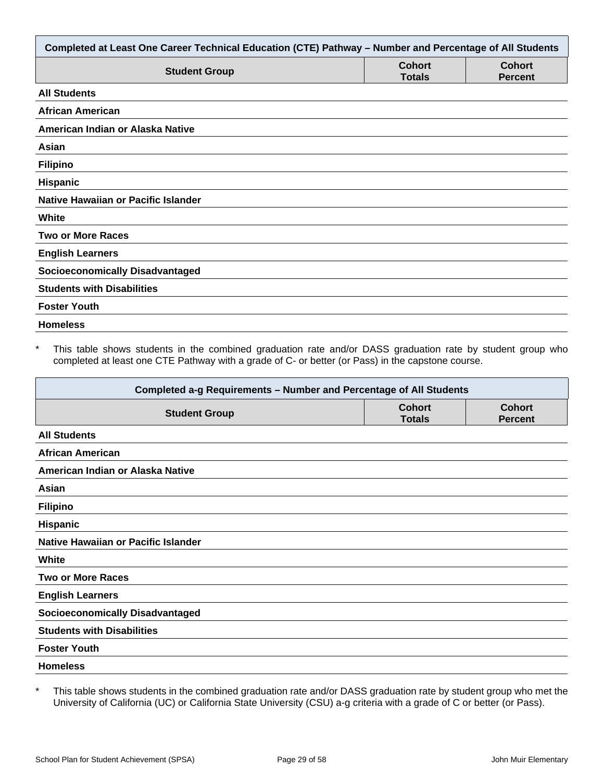| Completed at Least One Career Technical Education (CTE) Pathway - Number and Percentage of All Students |                                |                                 |
|---------------------------------------------------------------------------------------------------------|--------------------------------|---------------------------------|
| <b>Student Group</b>                                                                                    | <b>Cohort</b><br><b>Totals</b> | <b>Cohort</b><br><b>Percent</b> |
| <b>All Students</b>                                                                                     |                                |                                 |
| <b>African American</b>                                                                                 |                                |                                 |
| American Indian or Alaska Native                                                                        |                                |                                 |
| Asian                                                                                                   |                                |                                 |
| <b>Filipino</b>                                                                                         |                                |                                 |
| Hispanic                                                                                                |                                |                                 |
| <b>Native Hawaiian or Pacific Islander</b>                                                              |                                |                                 |
| White                                                                                                   |                                |                                 |
| <b>Two or More Races</b>                                                                                |                                |                                 |
| <b>English Learners</b>                                                                                 |                                |                                 |
| <b>Socioeconomically Disadvantaged</b>                                                                  |                                |                                 |
| <b>Students with Disabilities</b>                                                                       |                                |                                 |
| <b>Foster Youth</b>                                                                                     |                                |                                 |
| <b>Homeless</b>                                                                                         |                                |                                 |

This table shows students in the combined graduation rate and/or DASS graduation rate by student group who completed at least one CTE Pathway with a grade of C- or better (or Pass) in the capstone course.

| Completed a-g Requirements - Number and Percentage of All Students |                                |                                 |
|--------------------------------------------------------------------|--------------------------------|---------------------------------|
| <b>Student Group</b>                                               | <b>Cohort</b><br><b>Totals</b> | <b>Cohort</b><br><b>Percent</b> |
| <b>All Students</b>                                                |                                |                                 |
| <b>African American</b>                                            |                                |                                 |
| American Indian or Alaska Native                                   |                                |                                 |
| Asian                                                              |                                |                                 |
| <b>Filipino</b>                                                    |                                |                                 |
| <b>Hispanic</b>                                                    |                                |                                 |
| Native Hawaiian or Pacific Islander                                |                                |                                 |
| White                                                              |                                |                                 |
| <b>Two or More Races</b>                                           |                                |                                 |
| <b>English Learners</b>                                            |                                |                                 |
| <b>Socioeconomically Disadvantaged</b>                             |                                |                                 |
| <b>Students with Disabilities</b>                                  |                                |                                 |
| <b>Foster Youth</b>                                                |                                |                                 |
| <b>Homeless</b>                                                    |                                |                                 |

\* This table shows students in the combined graduation rate and/or DASS graduation rate by student group who met the University of California (UC) or California State University (CSU) a-g criteria with a grade of C or better (or Pass).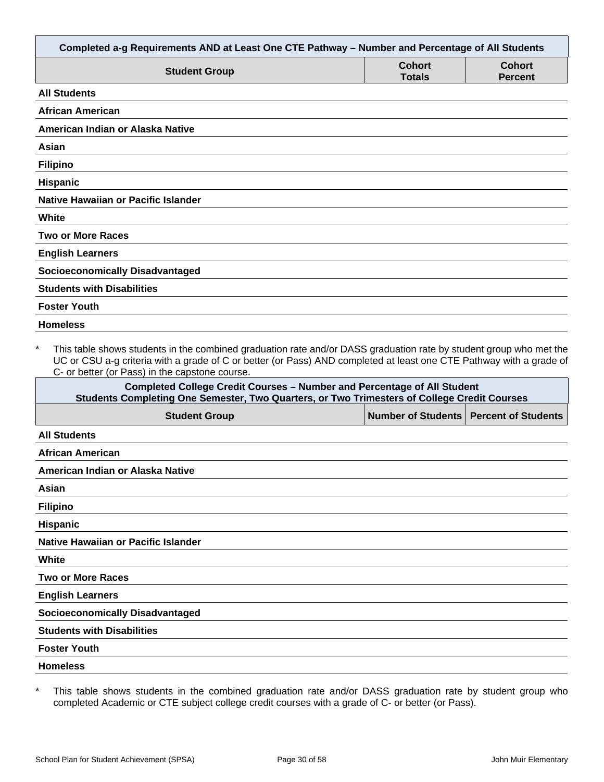| Completed a-g Requirements AND at Least One CTE Pathway - Number and Percentage of All Students                                                                                                                                                                                                        |                                |                                 |
|--------------------------------------------------------------------------------------------------------------------------------------------------------------------------------------------------------------------------------------------------------------------------------------------------------|--------------------------------|---------------------------------|
| <b>Student Group</b>                                                                                                                                                                                                                                                                                   | <b>Cohort</b><br><b>Totals</b> | <b>Cohort</b><br><b>Percent</b> |
| <b>All Students</b>                                                                                                                                                                                                                                                                                    |                                |                                 |
| <b>African American</b>                                                                                                                                                                                                                                                                                |                                |                                 |
| American Indian or Alaska Native                                                                                                                                                                                                                                                                       |                                |                                 |
| Asian                                                                                                                                                                                                                                                                                                  |                                |                                 |
| <b>Filipino</b>                                                                                                                                                                                                                                                                                        |                                |                                 |
| <b>Hispanic</b>                                                                                                                                                                                                                                                                                        |                                |                                 |
| Native Hawaiian or Pacific Islander                                                                                                                                                                                                                                                                    |                                |                                 |
| White                                                                                                                                                                                                                                                                                                  |                                |                                 |
| <b>Two or More Races</b>                                                                                                                                                                                                                                                                               |                                |                                 |
| <b>English Learners</b>                                                                                                                                                                                                                                                                                |                                |                                 |
| <b>Socioeconomically Disadvantaged</b>                                                                                                                                                                                                                                                                 |                                |                                 |
| <b>Students with Disabilities</b>                                                                                                                                                                                                                                                                      |                                |                                 |
| <b>Foster Youth</b>                                                                                                                                                                                                                                                                                    |                                |                                 |
| <b>Homeless</b>                                                                                                                                                                                                                                                                                        |                                |                                 |
| $\star$<br>This table shows students in the combined graduation rate and/or DASS graduation rate by student group who met the<br>UC or CSU a-g criteria with a grade of C or better (or Pass) AND completed at least one CTE Pathway with a grade of<br>C- or better (or Pass) in the capstone course. |                                |                                 |
| <b>Completed College Credit Courses - Number and Percentage of All Student</b><br>Students Completing One Semester, Two Quarters, or Two Trimesters of College Credit Courses                                                                                                                          |                                |                                 |
| <b>Student Group</b>                                                                                                                                                                                                                                                                                   | <b>Number of Students</b>      | <b>Percent of Students</b>      |
| <b>All Students</b>                                                                                                                                                                                                                                                                                    |                                |                                 |
| African American                                                                                                                                                                                                                                                                                       |                                |                                 |
| American Indian or Alaska Native                                                                                                                                                                                                                                                                       |                                |                                 |
| Asian                                                                                                                                                                                                                                                                                                  |                                |                                 |

|  | ilipino |
|--|---------|

**Hispanic**

**Native Hawaiian or Pacific Islander**

**White**

**Two or More Races**

**English Learners**

**Socioeconomically Disadvantaged**

**Students with Disabilities**

**Foster Youth**

**Homeless**

\* This table shows students in the combined graduation rate and/or DASS graduation rate by student group who completed Academic or CTE subject college credit courses with a grade of C- or better (or Pass).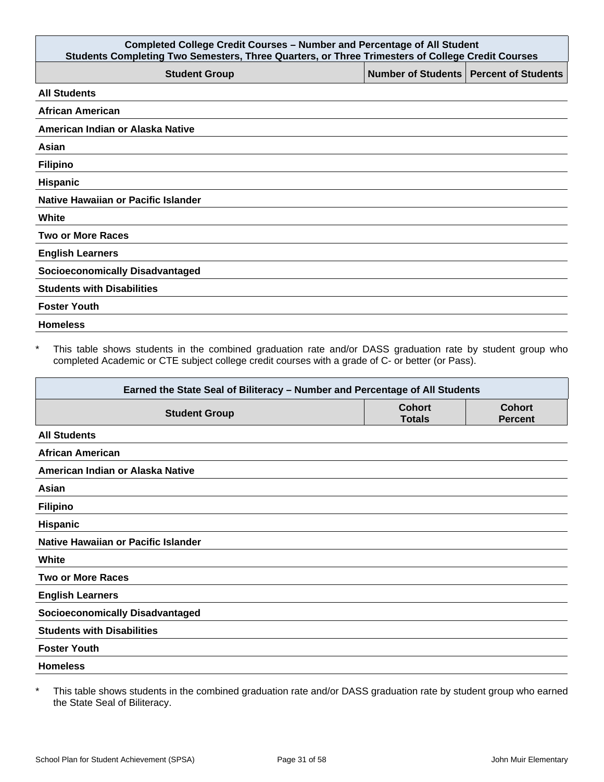| <b>Completed College Credit Courses - Number and Percentage of All Student</b><br>Students Completing Two Semesters, Three Quarters, or Three Trimesters of College Credit Courses |  |                                          |
|------------------------------------------------------------------------------------------------------------------------------------------------------------------------------------|--|------------------------------------------|
| <b>Student Group</b>                                                                                                                                                               |  | Number of Students   Percent of Students |
| <b>All Students</b>                                                                                                                                                                |  |                                          |
| <b>African American</b>                                                                                                                                                            |  |                                          |
| American Indian or Alaska Native                                                                                                                                                   |  |                                          |
| Asian                                                                                                                                                                              |  |                                          |
| <b>Filipino</b>                                                                                                                                                                    |  |                                          |
| <b>Hispanic</b>                                                                                                                                                                    |  |                                          |
| Native Hawaiian or Pacific Islander                                                                                                                                                |  |                                          |
| White                                                                                                                                                                              |  |                                          |
| <b>Two or More Races</b>                                                                                                                                                           |  |                                          |
| <b>English Learners</b>                                                                                                                                                            |  |                                          |
| <b>Socioeconomically Disadvantaged</b>                                                                                                                                             |  |                                          |
| <b>Students with Disabilities</b>                                                                                                                                                  |  |                                          |
| <b>Foster Youth</b>                                                                                                                                                                |  |                                          |
| <b>Homeless</b>                                                                                                                                                                    |  |                                          |

\* This table shows students in the combined graduation rate and/or DASS graduation rate by student group who completed Academic or CTE subject college credit courses with a grade of C- or better (or Pass).

| Earned the State Seal of Biliteracy - Number and Percentage of All Students |                                |                                 |
|-----------------------------------------------------------------------------|--------------------------------|---------------------------------|
| <b>Student Group</b>                                                        | <b>Cohort</b><br><b>Totals</b> | <b>Cohort</b><br><b>Percent</b> |
| <b>All Students</b>                                                         |                                |                                 |
| <b>African American</b>                                                     |                                |                                 |
| American Indian or Alaska Native                                            |                                |                                 |
| Asian                                                                       |                                |                                 |
| <b>Filipino</b>                                                             |                                |                                 |
| <b>Hispanic</b>                                                             |                                |                                 |
| Native Hawaiian or Pacific Islander                                         |                                |                                 |
| White                                                                       |                                |                                 |
| <b>Two or More Races</b>                                                    |                                |                                 |
| <b>English Learners</b>                                                     |                                |                                 |
| <b>Socioeconomically Disadvantaged</b>                                      |                                |                                 |
| <b>Students with Disabilities</b>                                           |                                |                                 |
| <b>Foster Youth</b>                                                         |                                |                                 |
| <b>Homeless</b>                                                             |                                |                                 |

\* This table shows students in the combined graduation rate and/or DASS graduation rate by student group who earned the State Seal of Biliteracy.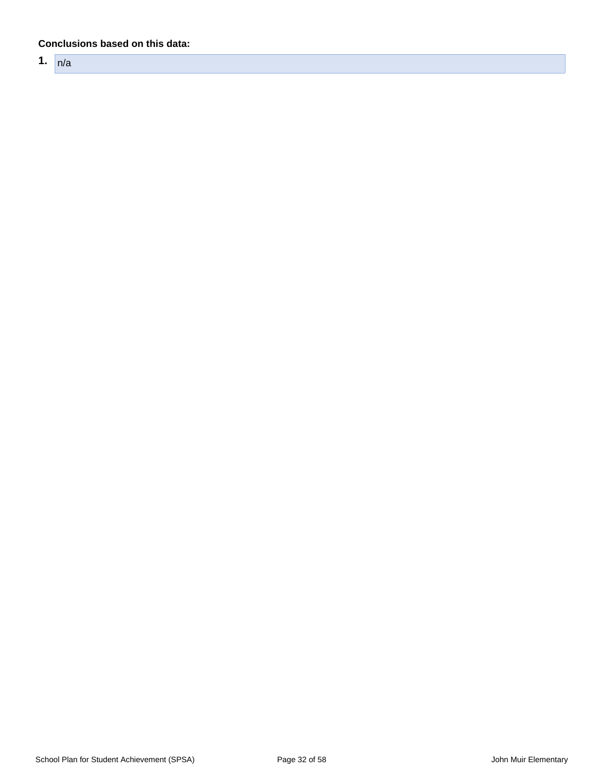#### **Conclusions based on this data:**

**1.** n/a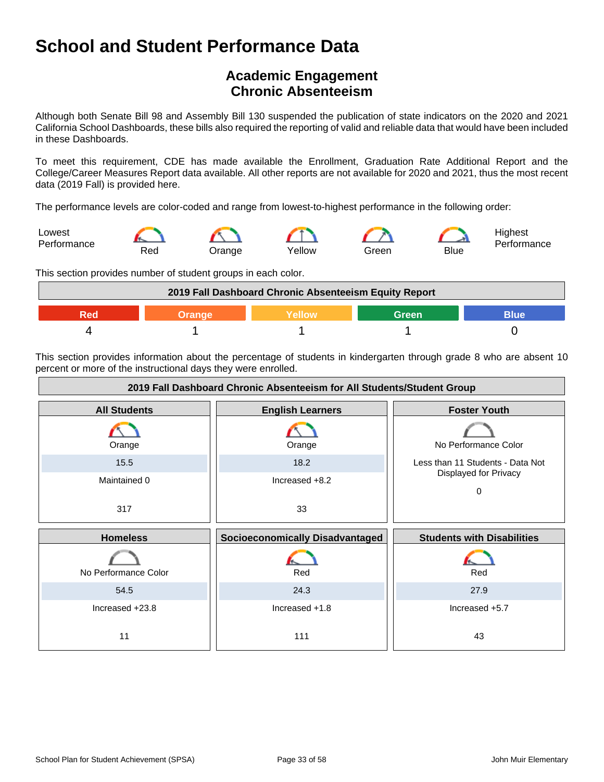## **Academic Engagement Chronic Absenteeism**

Although both Senate Bill 98 and Assembly Bill 130 suspended the publication of state indicators on the 2020 and 2021 California School Dashboards, these bills also required the reporting of valid and reliable data that would have been included in these Dashboards.

To meet this requirement, CDE has made available the Enrollment, Graduation Rate Additional Report and the College/Career Measures Report data available. All other reports are not available for 2020 and 2021, thus the most recent data (2019 Fall) is provided here.

The performance levels are color-coded and range from lowest-to-highest performance in the following order:



This section provides number of student groups in each color.



This section provides information about the percentage of students in kindergarten through grade 8 who are absent 10 percent or more of the instructional days they were enrolled.

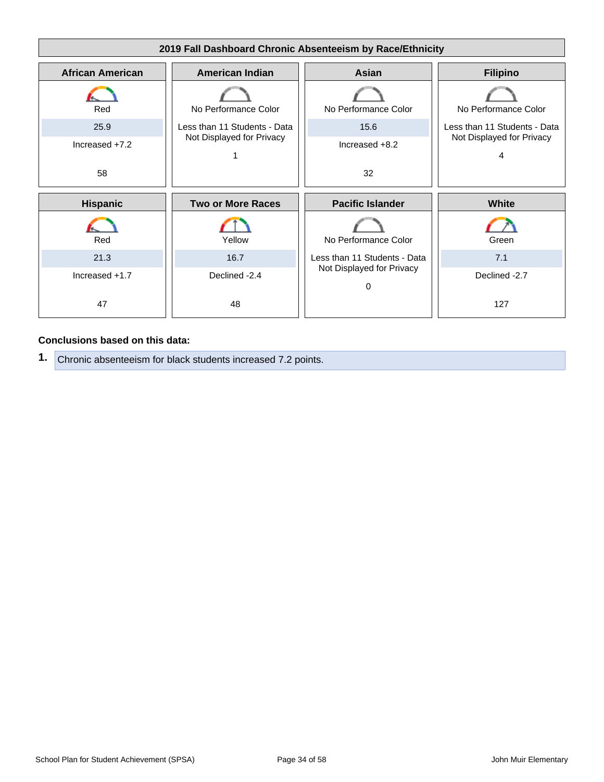

#### **Conclusions based on this data:**

**1.** Chronic absenteeism for black students increased 7.2 points.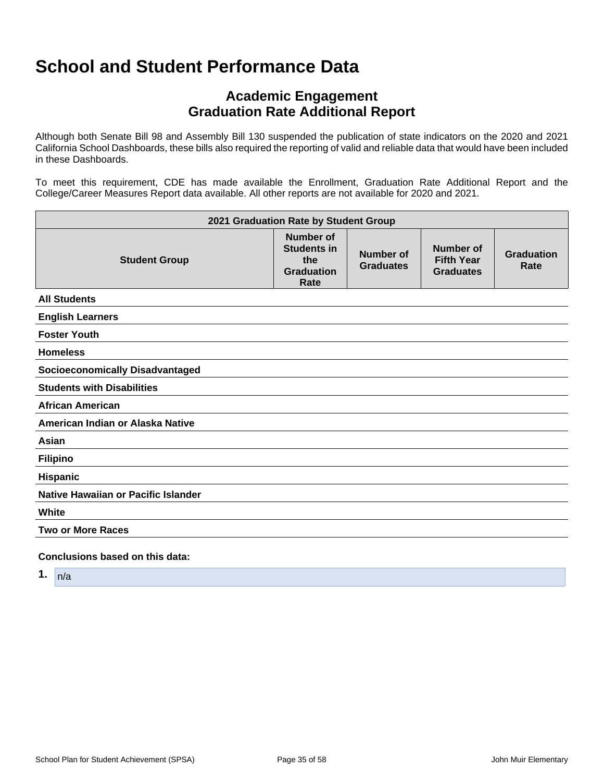## **Academic Engagement Graduation Rate Additional Report**

Although both Senate Bill 98 and Assembly Bill 130 suspended the publication of state indicators on the 2020 and 2021 California School Dashboards, these bills also required the reporting of valid and reliable data that would have been included in these Dashboards.

To meet this requirement, CDE has made available the Enrollment, Graduation Rate Additional Report and the College/Career Measures Report data available. All other reports are not available for 2020 and 2021.

| 2021 Graduation Rate by Student Group  |                                                                     |                               |                                                    |                           |
|----------------------------------------|---------------------------------------------------------------------|-------------------------------|----------------------------------------------------|---------------------------|
| <b>Student Group</b>                   | Number of<br><b>Students in</b><br>the<br><b>Graduation</b><br>Rate | Number of<br><b>Graduates</b> | Number of<br><b>Fifth Year</b><br><b>Graduates</b> | <b>Graduation</b><br>Rate |
| <b>All Students</b>                    |                                                                     |                               |                                                    |                           |
| <b>English Learners</b>                |                                                                     |                               |                                                    |                           |
| <b>Foster Youth</b>                    |                                                                     |                               |                                                    |                           |
| <b>Homeless</b>                        |                                                                     |                               |                                                    |                           |
| <b>Socioeconomically Disadvantaged</b> |                                                                     |                               |                                                    |                           |
| <b>Students with Disabilities</b>      |                                                                     |                               |                                                    |                           |
| <b>African American</b>                |                                                                     |                               |                                                    |                           |
| American Indian or Alaska Native       |                                                                     |                               |                                                    |                           |
| Asian                                  |                                                                     |                               |                                                    |                           |
| <b>Filipino</b>                        |                                                                     |                               |                                                    |                           |
| <b>Hispanic</b>                        |                                                                     |                               |                                                    |                           |
| Native Hawaiian or Pacific Islander    |                                                                     |                               |                                                    |                           |
| White                                  |                                                                     |                               |                                                    |                           |
| <b>Two or More Races</b>               |                                                                     |                               |                                                    |                           |
| Conclusions based on this data:        |                                                                     |                               |                                                    |                           |

**1.** n/a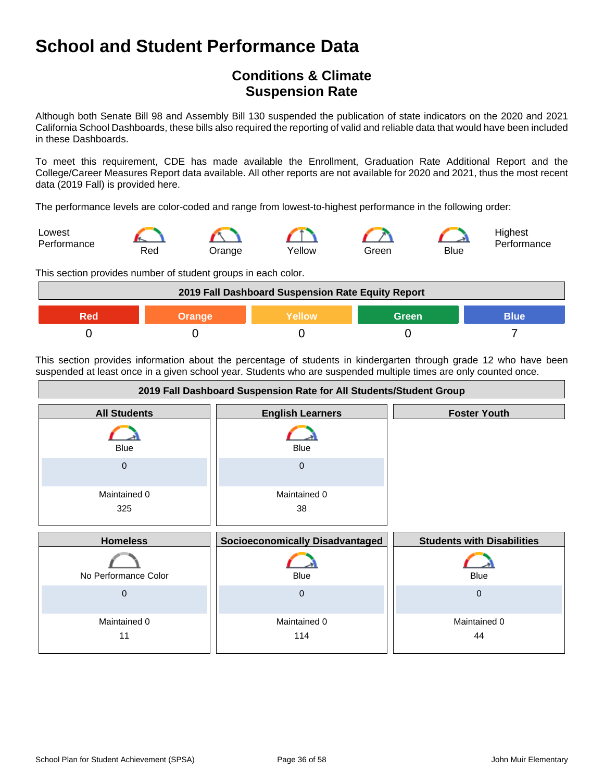## **Conditions & Climate Suspension Rate**

Although both Senate Bill 98 and Assembly Bill 130 suspended the publication of state indicators on the 2020 and 2021 California School Dashboards, these bills also required the reporting of valid and reliable data that would have been included in these Dashboards.

To meet this requirement, CDE has made available the Enrollment, Graduation Rate Additional Report and the College/Career Measures Report data available. All other reports are not available for 2020 and 2021, thus the most recent data (2019 Fall) is provided here.

The performance levels are color-coded and range from lowest-to-highest performance in the following order:



This section provides number of student groups in each color.



This section provides information about the percentage of students in kindergarten through grade 12 who have been suspended at least once in a given school year. Students who are suspended multiple times are only counted once.

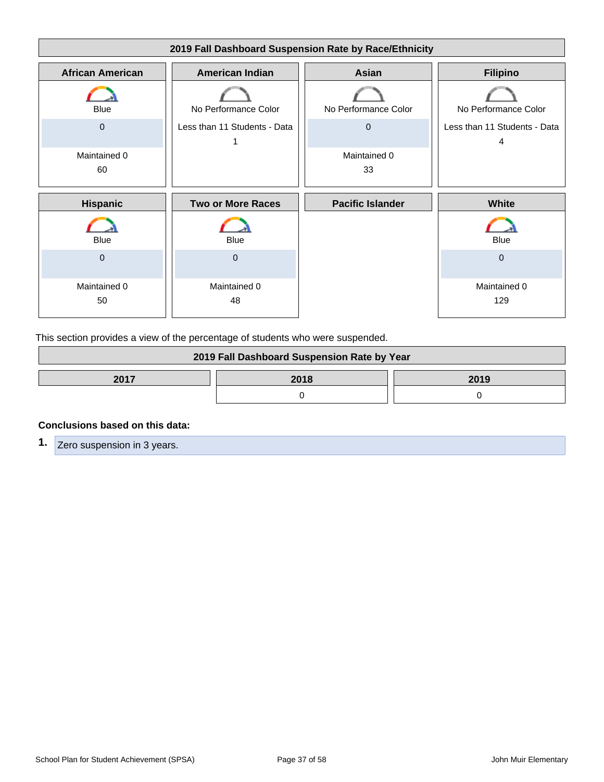

This section provides a view of the percentage of students who were suspended.

| 2019 Fall Dashboard Suspension Rate by Year |  |  |
|---------------------------------------------|--|--|
| 2017<br>2018<br>2019                        |  |  |
|                                             |  |  |

#### **Conclusions based on this data:**

**1.** Zero suspension in 3 years.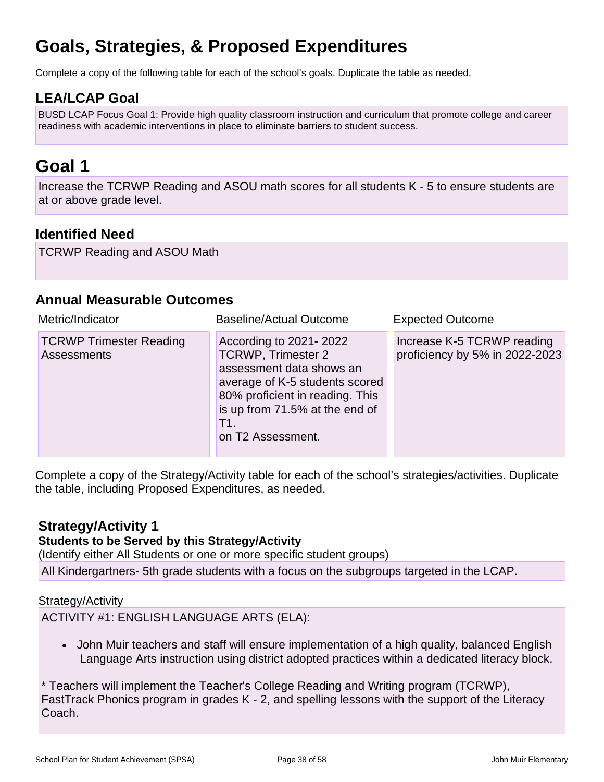## **Goals, Strategies, & Proposed Expenditures**

Complete a copy of the following table for each of the school's goals. Duplicate the table as needed.

## **LEA/LCAP Goal**

BUSD LCAP Focus Goal 1: Provide high quality classroom instruction and curriculum that promote college and career readiness with academic interventions in place to eliminate barriers to student success.

## **Goal 1**

Increase the TCRWP Reading and ASOU math scores for all students K - 5 to ensure students are at or above grade level.

### **Identified Need**

TCRWP Reading and ASOU Math

### **Annual Measurable Outcomes**

| Metric/Indicator                                     | <b>Baseline/Actual Outcome</b>                                                                                                                                                                                     | <b>Expected Outcome</b>                                      |
|------------------------------------------------------|--------------------------------------------------------------------------------------------------------------------------------------------------------------------------------------------------------------------|--------------------------------------------------------------|
| <b>TCRWP Trimester Reading</b><br><b>Assessments</b> | According to 2021-2022<br><b>TCRWP, Trimester 2</b><br>assessment data shows an<br>average of K-5 students scored<br>80% proficient in reading. This<br>is up from 71.5% at the end of<br>T1.<br>on T2 Assessment. | Increase K-5 TCRWP reading<br>proficiency by 5% in 2022-2023 |

Complete a copy of the Strategy/Activity table for each of the school's strategies/activities. Duplicate the table, including Proposed Expenditures, as needed.

### **Strategy/Activity 1**

### **Students to be Served by this Strategy/Activity**

(Identify either All Students or one or more specific student groups)

All Kindergartners- 5th grade students with a focus on the subgroups targeted in the LCAP.

Strategy/Activity

ACTIVITY #1: ENGLISH LANGUAGE ARTS (ELA):

• John Muir teachers and staff will ensure implementation of a high quality, balanced English Language Arts instruction using district adopted practices within a dedicated literacy block.

\* Teachers will implement the Teacher's College Reading and Writing program (TCRWP), FastTrack Phonics program in grades K - 2, and spelling lessons with the support of the Literacy Coach.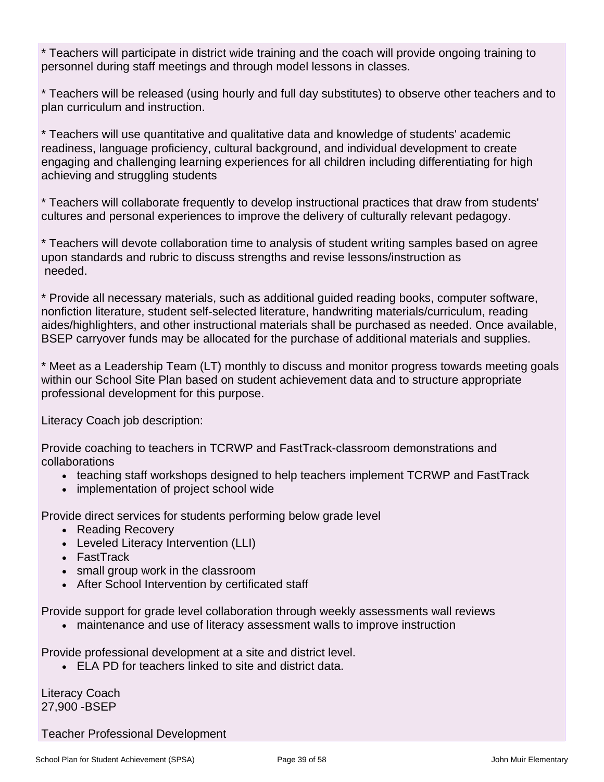\* Teachers will participate in district wide training and the coach will provide ongoing training to personnel during staff meetings and through model lessons in classes.

\* Teachers will be released (using hourly and full day substitutes) to observe other teachers and to plan curriculum and instruction.

\* Teachers will use quantitative and qualitative data and knowledge of students' academic readiness, language proficiency, cultural background, and individual development to create engaging and challenging learning experiences for all children including differentiating for high achieving and struggling students

\* Teachers will collaborate frequently to develop instructional practices that draw from students' cultures and personal experiences to improve the delivery of culturally relevant pedagogy.

\* Teachers will devote collaboration time to analysis of student writing samples based on agree upon standards and rubric to discuss strengths and revise lessons/instruction as needed.

\* Provide all necessary materials, such as additional guided reading books, computer software, nonfiction literature, student self-selected literature, handwriting materials/curriculum, reading aides/highlighters, and other instructional materials shall be purchased as needed. Once available, BSEP carryover funds may be allocated for the purchase of additional materials and supplies.

\* Meet as a Leadership Team (LT) monthly to discuss and monitor progress towards meeting goals within our School Site Plan based on student achievement data and to structure appropriate professional development for this purpose.

Literacy Coach job description:

Provide coaching to teachers in TCRWP and FastTrack-classroom demonstrations and collaborations

- teaching staff workshops designed to help teachers implement TCRWP and FastTrack
- implementation of project school wide

Provide direct services for students performing below grade level

- Reading Recovery
- Leveled Literacy Intervention (LLI)
- FastTrack
- small group work in the classroom
- After School Intervention by certificated staff

Provide support for grade level collaboration through weekly assessments wall reviews

• maintenance and use of literacy assessment walls to improve instruction

Provide professional development at a site and district level.

• ELA PD for teachers linked to site and district data.

Literacy Coach 27,900 -BSEP

Teacher Professional Development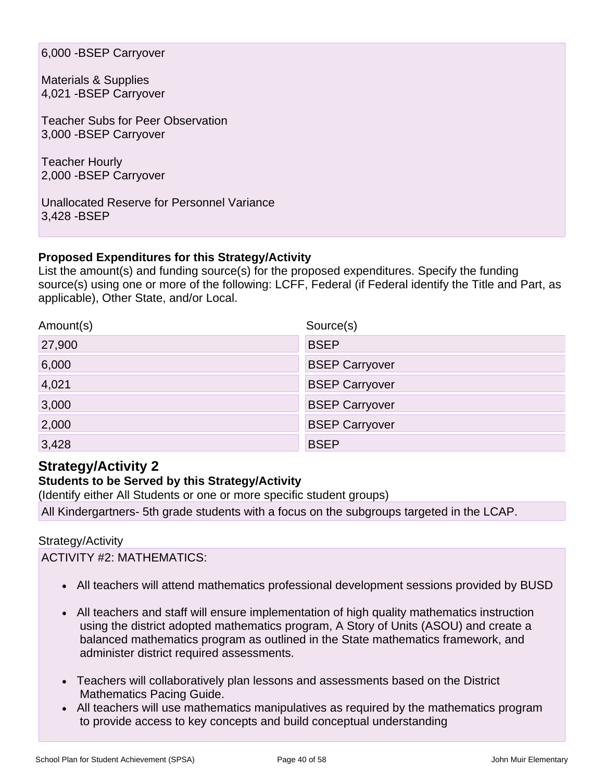6,000 -BSEP Carryover

Materials & Supplies 4,021 -BSEP Carryover

Teacher Subs for Peer Observation 3,000 -BSEP Carryover

Teacher Hourly 2,000 -BSEP Carryover

Unallocated Reserve for Personnel Variance 3,428 -BSEP

#### **Proposed Expenditures for this Strategy/Activity**

List the amount(s) and funding source(s) for the proposed expenditures. Specify the funding source(s) using one or more of the following: LCFF, Federal (if Federal identify the Title and Part, as applicable), Other State, and/or Local.

| Amount(s) | Source(s)             |
|-----------|-----------------------|
| 27,900    | <b>BSEP</b>           |
| 6,000     | <b>BSEP Carryover</b> |
| 4,021     | <b>BSEP Carryover</b> |
| 3,000     | <b>BSEP Carryover</b> |
| 2,000     | <b>BSEP Carryover</b> |
| 3,428     | <b>BSEP</b>           |

## **Strategy/Activity 2**

#### **Students to be Served by this Strategy/Activity**

(Identify either All Students or one or more specific student groups)

All Kindergartners- 5th grade students with a focus on the subgroups targeted in the LCAP.

#### Strategy/Activity

ACTIVITY #2: MATHEMATICS:

- All teachers will attend mathematics professional development sessions provided by BUSD
- All teachers and staff will ensure implementation of high quality mathematics instruction using the district adopted mathematics program, A Story of Units (ASOU) and create a balanced mathematics program as outlined in the State mathematics framework, and administer district required assessments.
- Teachers will collaboratively plan lessons and assessments based on the District Mathematics Pacing Guide.
- All teachers will use mathematics manipulatives as required by the mathematics program to provide access to key concepts and build conceptual understanding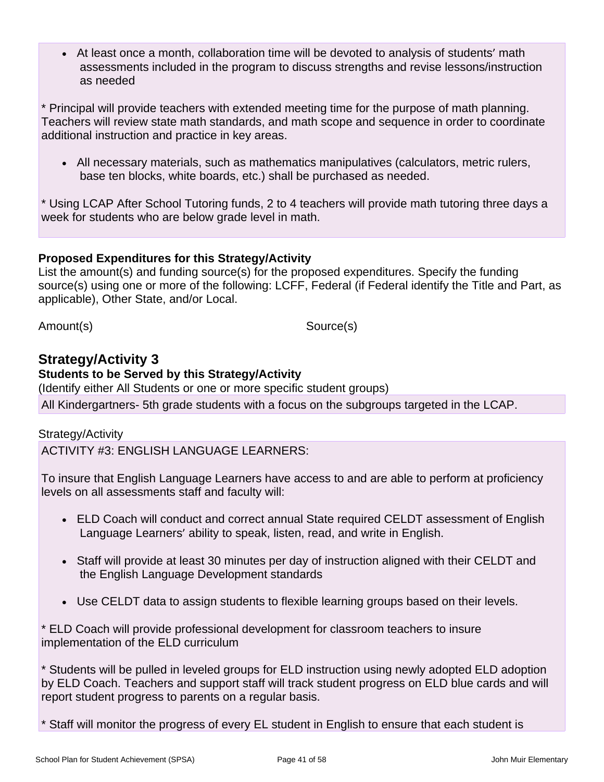• At least once a month, collaboration time will be devoted to analysis of students' math assessments included in the program to discuss strengths and revise lessons/instruction as needed

\* Principal will provide teachers with extended meeting time for the purpose of math planning. Teachers will review state math standards, and math scope and sequence in order to coordinate additional instruction and practice in key areas.

• All necessary materials, such as mathematics manipulatives (calculators, metric rulers, base ten blocks, white boards, etc.) shall be purchased as needed.

\* Using LCAP After School Tutoring funds, 2 to 4 teachers will provide math tutoring three days a week for students who are below grade level in math.

#### **Proposed Expenditures for this Strategy/Activity**

List the amount(s) and funding source(s) for the proposed expenditures. Specify the funding source(s) using one or more of the following: LCFF, Federal (if Federal identify the Title and Part, as applicable), Other State, and/or Local.

Amount(s) Source(s)

## **Strategy/Activity 3**

#### **Students to be Served by this Strategy/Activity**

(Identify either All Students or one or more specific student groups) All Kindergartners- 5th grade students with a focus on the subgroups targeted in the LCAP.

#### Strategy/Activity

ACTIVITY #3: ENGLISH LANGUAGE LEARNERS:

To insure that English Language Learners have access to and are able to perform at proficiency levels on all assessments staff and faculty will:

- ELD Coach will conduct and correct annual State required CELDT assessment of English Language Learners' ability to speak, listen, read, and write in English.
- Staff will provide at least 30 minutes per day of instruction aligned with their CELDT and the English Language Development standards
- Use CELDT data to assign students to flexible learning groups based on their levels.

\* ELD Coach will provide professional development for classroom teachers to insure implementation of the ELD curriculum

\* Students will be pulled in leveled groups for ELD instruction using newly adopted ELD adoption by ELD Coach. Teachers and support staff will track student progress on ELD blue cards and will report student progress to parents on a regular basis.

\* Staff will monitor the progress of every EL student in English to ensure that each student is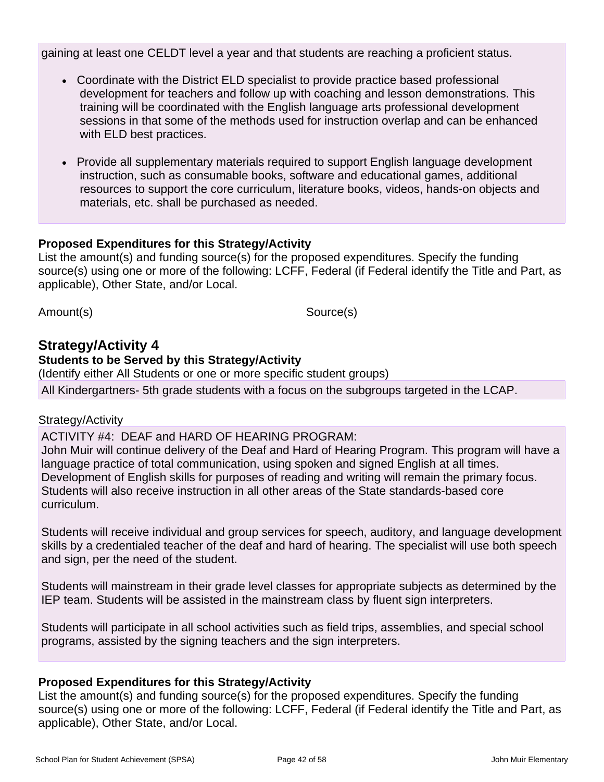gaining at least one CELDT level a year and that students are reaching a proficient status.

- Coordinate with the District ELD specialist to provide practice based professional development for teachers and follow up with coaching and lesson demonstrations. This training will be coordinated with the English language arts professional development sessions in that some of the methods used for instruction overlap and can be enhanced with ELD best practices.
- Provide all supplementary materials required to support English language development instruction, such as consumable books, software and educational games, additional resources to support the core curriculum, literature books, videos, hands-on objects and materials, etc. shall be purchased as needed.

#### **Proposed Expenditures for this Strategy/Activity**

List the amount(s) and funding source(s) for the proposed expenditures. Specify the funding source(s) using one or more of the following: LCFF, Federal (if Federal identify the Title and Part, as applicable), Other State, and/or Local.

Amount(s) Source(s)

### **Strategy/Activity 4**

#### **Students to be Served by this Strategy/Activity**

(Identify either All Students or one or more specific student groups)

All Kindergartners- 5th grade students with a focus on the subgroups targeted in the LCAP.

#### Strategy/Activity

ACTIVITY #4: DEAF and HARD OF HEARING PROGRAM: John Muir will continue delivery of the Deaf and Hard of Hearing Program. This program will have a language practice of total communication, using spoken and signed English at all times. Development of English skills for purposes of reading and writing will remain the primary focus. Students will also receive instruction in all other areas of the State standards-based core curriculum.

Students will receive individual and group services for speech, auditory, and language development skills by a credentialed teacher of the deaf and hard of hearing. The specialist will use both speech and sign, per the need of the student.

Students will mainstream in their grade level classes for appropriate subjects as determined by the IEP team. Students will be assisted in the mainstream class by fluent sign interpreters.

Students will participate in all school activities such as field trips, assemblies, and special school programs, assisted by the signing teachers and the sign interpreters.

#### **Proposed Expenditures for this Strategy/Activity**

List the amount(s) and funding source(s) for the proposed expenditures. Specify the funding source(s) using one or more of the following: LCFF, Federal (if Federal identify the Title and Part, as applicable), Other State, and/or Local.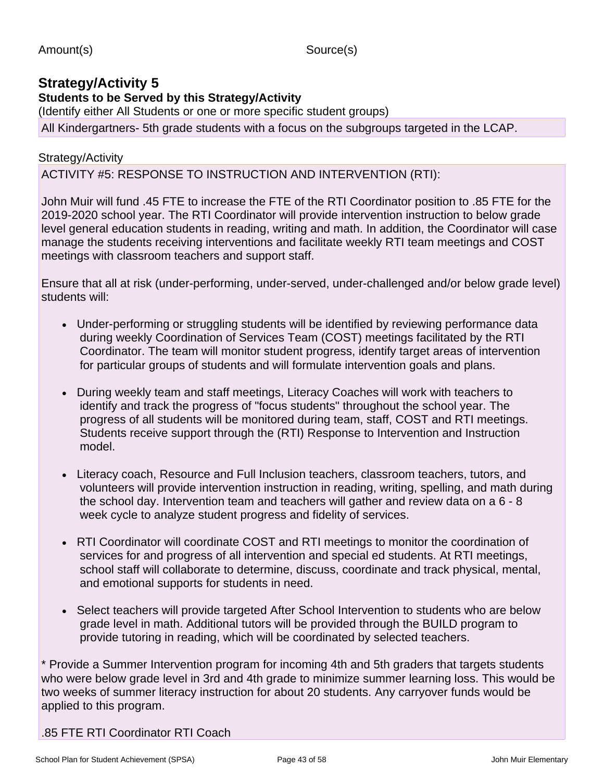### **Strategy/Activity 5**

**Students to be Served by this Strategy/Activity**

(Identify either All Students or one or more specific student groups) All Kindergartners- 5th grade students with a focus on the subgroups targeted in the LCAP.

### Strategy/Activity

### ACTIVITY #5: RESPONSE TO INSTRUCTION AND INTERVENTION (RTI):

John Muir will fund .45 FTE to increase the FTE of the RTI Coordinator position to .85 FTE for the 2019-2020 school year. The RTI Coordinator will provide intervention instruction to below grade level general education students in reading, writing and math. In addition, the Coordinator will case manage the students receiving interventions and facilitate weekly RTI team meetings and COST meetings with classroom teachers and support staff.

Ensure that all at risk (under-performing, under-served, under-challenged and/or below grade level) students will:

- Under-performing or struggling students will be identified by reviewing performance data during weekly Coordination of Services Team (COST) meetings facilitated by the RTI Coordinator. The team will monitor student progress, identify target areas of intervention for particular groups of students and will formulate intervention goals and plans.
- During weekly team and staff meetings, Literacy Coaches will work with teachers to identify and track the progress of "focus students" throughout the school year. The progress of all students will be monitored during team, staff, COST and RTI meetings. Students receive support through the (RTI) Response to Intervention and Instruction model.
- Literacy coach, Resource and Full Inclusion teachers, classroom teachers, tutors, and volunteers will provide intervention instruction in reading, writing, spelling, and math during the school day. Intervention team and teachers will gather and review data on a 6 - 8 week cycle to analyze student progress and fidelity of services.
- RTI Coordinator will coordinate COST and RTI meetings to monitor the coordination of services for and progress of all intervention and special ed students. At RTI meetings, school staff will collaborate to determine, discuss, coordinate and track physical, mental, and emotional supports for students in need.
- Select teachers will provide targeted After School Intervention to students who are below grade level in math. Additional tutors will be provided through the BUILD program to provide tutoring in reading, which will be coordinated by selected teachers.

\* Provide a Summer Intervention program for incoming 4th and 5th graders that targets students who were below grade level in 3rd and 4th grade to minimize summer learning loss. This would be two weeks of summer literacy instruction for about 20 students. Any carryover funds would be applied to this program.

.85 FTE RTI Coordinator RTI Coach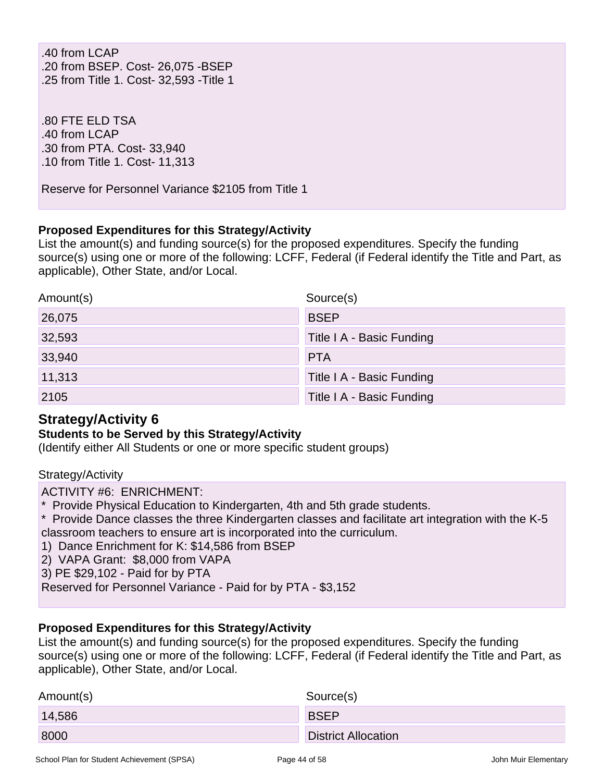.40 from LCAP .20 from BSEP. Cost- 26,075 -BSEP .25 from Title 1. Cost- 32,593 -Title 1

.80 FTE ELD TSA .40 from LCAP .30 from PTA. Cost- 33,940 .10 from Title 1. Cost- 11,313

Reserve for Personnel Variance \$2105 from Title 1

#### **Proposed Expenditures for this Strategy/Activity**

List the amount(s) and funding source(s) for the proposed expenditures. Specify the funding source(s) using one or more of the following: LCFF, Federal (if Federal identify the Title and Part, as applicable), Other State, and/or Local.

| Amount(s) | Source(s)                 |
|-----------|---------------------------|
| 26,075    | <b>BSEP</b>               |
| 32,593    | Title I A - Basic Funding |
| 33,940    | <b>PTA</b>                |
| 11,313    | Title I A - Basic Funding |
| 2105      | Title I A - Basic Funding |

## **Strategy/Activity 6**

#### **Students to be Served by this Strategy/Activity**

(Identify either All Students or one or more specific student groups)

#### Strategy/Activity

ACTIVITY #6: ENRICHMENT:

- \* Provide Physical Education to Kindergarten, 4th and 5th grade students.
- \* Provide Dance classes the three Kindergarten classes and facilitate art integration with the K-5 classroom teachers to ensure art is incorporated into the curriculum.
- 1) Dance Enrichment for K: \$14,586 from BSEP
- 2) VAPA Grant: \$8,000 from VAPA
- 3) PE \$29,102 Paid for by PTA
- Reserved for Personnel Variance Paid for by PTA \$3,152

#### **Proposed Expenditures for this Strategy/Activity**

List the amount(s) and funding source(s) for the proposed expenditures. Specify the funding source(s) using one or more of the following: LCFF, Federal (if Federal identify the Title and Part, as applicable), Other State, and/or Local.

| Amount(s) | Source(s)                  |
|-----------|----------------------------|
| 14,586    | <b>BSEP</b>                |
| 8000      | <b>District Allocation</b> |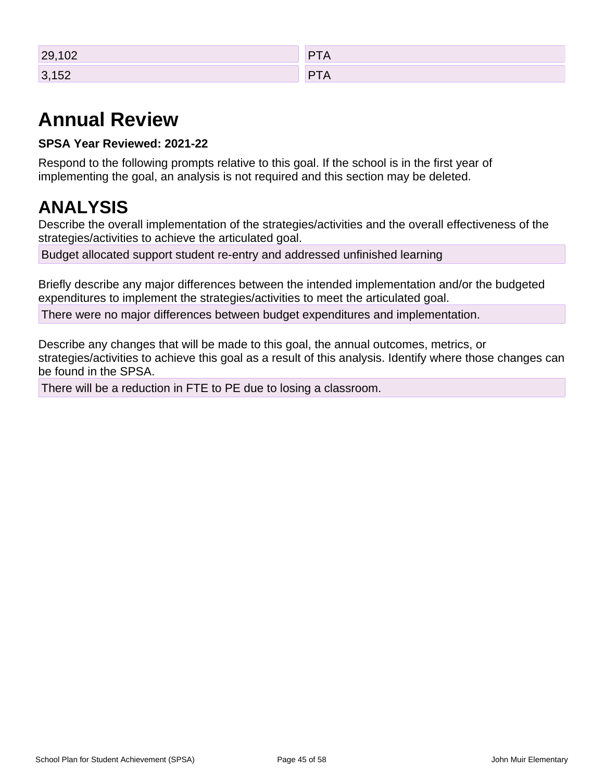| 29,102         | D              |
|----------------|----------------|
| $\sim$         | $\overline{1}$ |
| 3,152<br>0,102 | P<br>-<br>.    |

## **Annual Review**

### **SPSA Year Reviewed: 2021-22**

Respond to the following prompts relative to this goal. If the school is in the first year of implementing the goal, an analysis is not required and this section may be deleted.

## **ANALYSIS**

Describe the overall implementation of the strategies/activities and the overall effectiveness of the strategies/activities to achieve the articulated goal.

Budget allocated support student re-entry and addressed unfinished learning

Briefly describe any major differences between the intended implementation and/or the budgeted expenditures to implement the strategies/activities to meet the articulated goal.

There were no major differences between budget expenditures and implementation.

Describe any changes that will be made to this goal, the annual outcomes, metrics, or strategies/activities to achieve this goal as a result of this analysis. Identify where those changes can be found in the SPSA.

There will be a reduction in FTE to PE due to losing a classroom.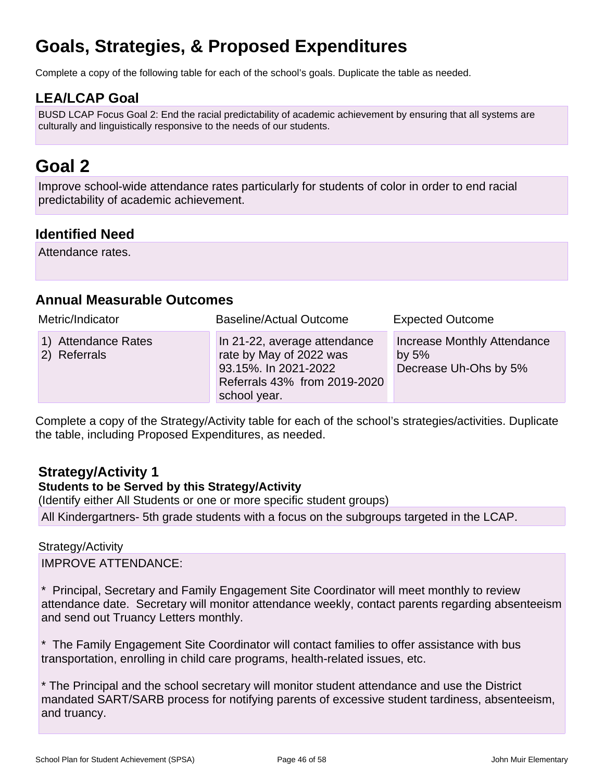## **Goals, Strategies, & Proposed Expenditures**

Complete a copy of the following table for each of the school's goals. Duplicate the table as needed.

## **LEA/LCAP Goal**

BUSD LCAP Focus Goal 2: End the racial predictability of academic achievement by ensuring that all systems are culturally and linguistically responsive to the needs of our students.

## **Goal 2**

Improve school-wide attendance rates particularly for students of color in order to end racial predictability of academic achievement.

### **Identified Need**

Attendance rates.

### **Annual Measurable Outcomes**

| Metric/Indicator                    | <b>Baseline/Actual Outcome</b>                                                                                                  | <b>Expected Outcome</b>                                         |
|-------------------------------------|---------------------------------------------------------------------------------------------------------------------------------|-----------------------------------------------------------------|
| 1) Attendance Rates<br>2) Referrals | In 21-22, average attendance<br>rate by May of 2022 was<br>93.15%. In 2021-2022<br>Referrals 43% from 2019-2020<br>school year. | Increase Monthly Attendance<br>by $5%$<br>Decrease Uh-Ohs by 5% |

Complete a copy of the Strategy/Activity table for each of the school's strategies/activities. Duplicate the table, including Proposed Expenditures, as needed.

## **Strategy/Activity 1**

#### **Students to be Served by this Strategy/Activity**

(Identify either All Students or one or more specific student groups)

All Kindergartners- 5th grade students with a focus on the subgroups targeted in the LCAP.

#### Strategy/Activity

IMPROVE ATTENDANCE:

\* Principal, Secretary and Family Engagement Site Coordinator will meet monthly to review attendance date. Secretary will monitor attendance weekly, contact parents regarding absenteeism and send out Truancy Letters monthly.

\* The Family Engagement Site Coordinator will contact families to offer assistance with bus transportation, enrolling in child care programs, health-related issues, etc.

\* The Principal and the school secretary will monitor student attendance and use the District mandated SART/SARB process for notifying parents of excessive student tardiness, absenteeism, and truancy.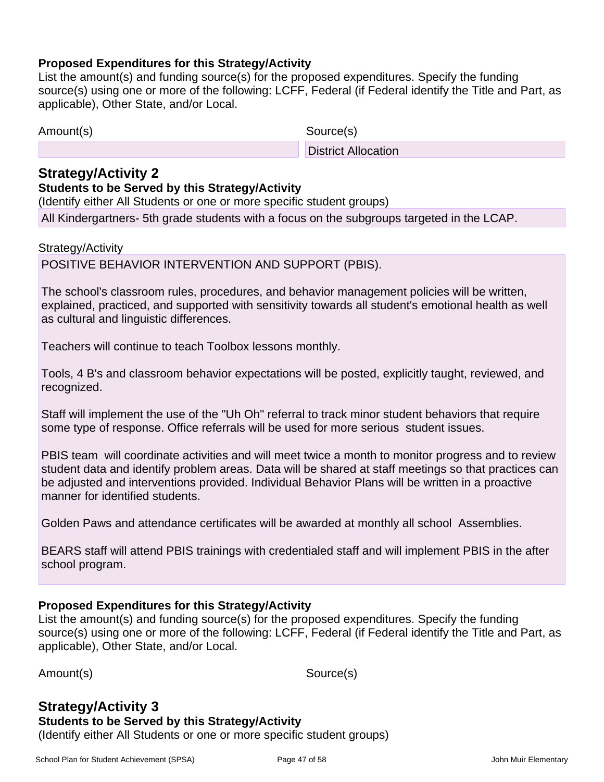#### **Proposed Expenditures for this Strategy/Activity**

List the amount(s) and funding source(s) for the proposed expenditures. Specify the funding source(s) using one or more of the following: LCFF, Federal (if Federal identify the Title and Part, as applicable), Other State, and/or Local.

| Amount(s) |  |
|-----------|--|
|-----------|--|

Source(s)

District Allocation

### **Strategy/Activity 2**

#### **Students to be Served by this Strategy/Activity**

(Identify either All Students or one or more specific student groups) All Kindergartners- 5th grade students with a focus on the subgroups targeted in the LCAP.

Strategy/Activity

POSITIVE BEHAVIOR INTERVENTION AND SUPPORT (PBIS).

The school's classroom rules, procedures, and behavior management policies will be written, explained, practiced, and supported with sensitivity towards all student's emotional health as well as cultural and linguistic differences.

Teachers will continue to teach Toolbox lessons monthly.

Tools, 4 B's and classroom behavior expectations will be posted, explicitly taught, reviewed, and recognized.

Staff will implement the use of the "Uh Oh" referral to track minor student behaviors that require some type of response. Office referrals will be used for more serious student issues.

PBIS team will coordinate activities and will meet twice a month to monitor progress and to review student data and identify problem areas. Data will be shared at staff meetings so that practices can be adjusted and interventions provided. Individual Behavior Plans will be written in a proactive manner for identified students.

Golden Paws and attendance certificates will be awarded at monthly all school Assemblies.

BEARS staff will attend PBIS trainings with credentialed staff and will implement PBIS in the after school program.

#### **Proposed Expenditures for this Strategy/Activity**

List the amount(s) and funding source(s) for the proposed expenditures. Specify the funding source(s) using one or more of the following: LCFF, Federal (if Federal identify the Title and Part, as applicable), Other State, and/or Local.

Amount(s) Source(s)

#### **Strategy/Activity 3 Students to be Served by this Strategy/Activity**

(Identify either All Students or one or more specific student groups)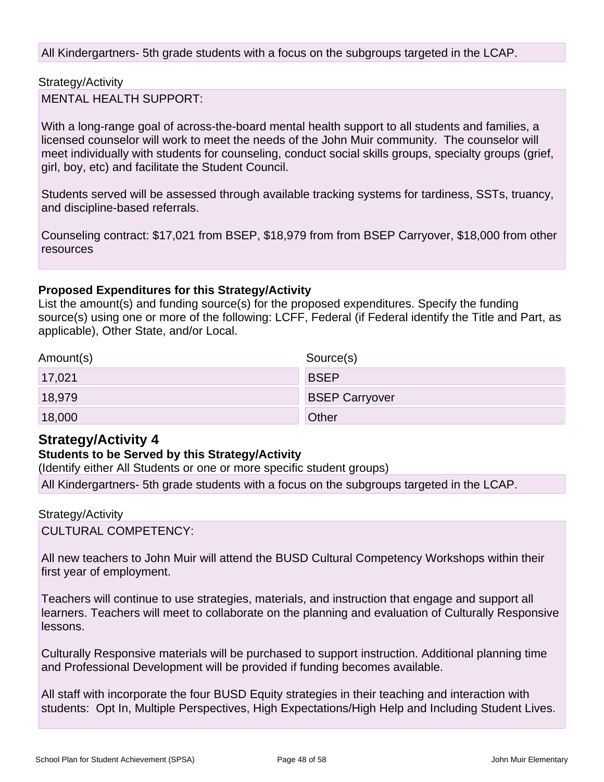All Kindergartners- 5th grade students with a focus on the subgroups targeted in the LCAP.

Strategy/Activity MENTAL HEALTH SUPPORT:

With a long-range goal of across-the-board mental health support to all students and families, a licensed counselor will work to meet the needs of the John Muir community. The counselor will meet individually with students for counseling, conduct social skills groups, specialty groups (grief, girl, boy, etc) and facilitate the Student Council.

Students served will be assessed through available tracking systems for tardiness, SSTs, truancy, and discipline-based referrals.

Counseling contract: \$17,021 from BSEP, \$18,979 from from BSEP Carryover, \$18,000 from other resources

#### **Proposed Expenditures for this Strategy/Activity**

List the amount(s) and funding source(s) for the proposed expenditures. Specify the funding source(s) using one or more of the following: LCFF, Federal (if Federal identify the Title and Part, as applicable), Other State, and/or Local.

| Amount(s) | Source(s)             |
|-----------|-----------------------|
| 17,021    | <b>BSEP</b>           |
| 18,979    | <b>BSEP Carryover</b> |
| 18,000    | Other                 |

### **Strategy/Activity 4**

#### **Students to be Served by this Strategy/Activity**

(Identify either All Students or one or more specific student groups)

All Kindergartners- 5th grade students with a focus on the subgroups targeted in the LCAP.

#### Strategy/Activity

CULTURAL COMPETENCY:

All new teachers to John Muir will attend the BUSD Cultural Competency Workshops within their first year of employment.

Teachers will continue to use strategies, materials, and instruction that engage and support all learners. Teachers will meet to collaborate on the planning and evaluation of Culturally Responsive lessons.

Culturally Responsive materials will be purchased to support instruction. Additional planning time and Professional Development will be provided if funding becomes available.

All staff with incorporate the four BUSD Equity strategies in their teaching and interaction with students: Opt In, Multiple Perspectives, High Expectations/High Help and Including Student Lives.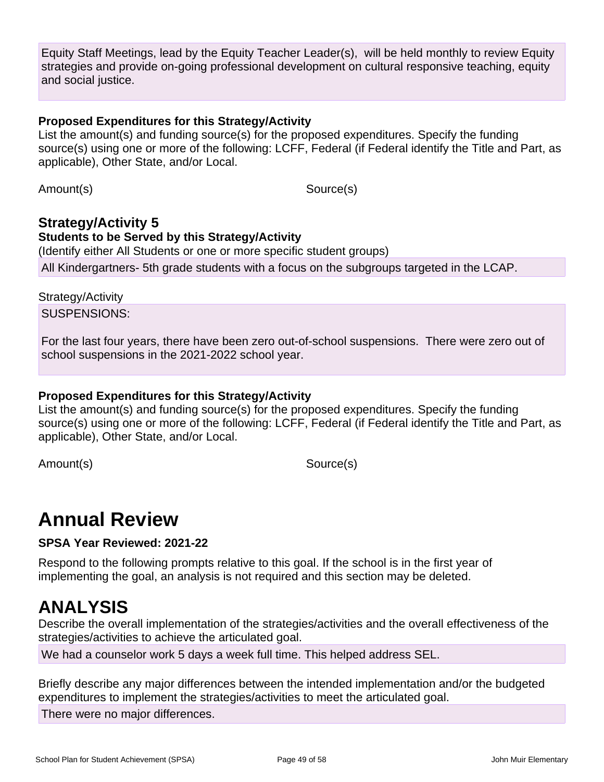Equity Staff Meetings, lead by the Equity Teacher Leader(s), will be held monthly to review Equity strategies and provide on-going professional development on cultural responsive teaching, equity and social justice.

#### **Proposed Expenditures for this Strategy/Activity**

List the amount(s) and funding source(s) for the proposed expenditures. Specify the funding source(s) using one or more of the following: LCFF, Federal (if Federal identify the Title and Part, as applicable), Other State, and/or Local.

Amount(s) Source(s)

## **Strategy/Activity 5 Students to be Served by this Strategy/Activity** (Identify either All Students or one or more specific student groups)

All Kindergartners- 5th grade students with a focus on the subgroups targeted in the LCAP.

#### Strategy/Activity

SUSPENSIONS:

For the last four years, there have been zero out-of-school suspensions. There were zero out of school suspensions in the 2021-2022 school year.

#### **Proposed Expenditures for this Strategy/Activity**

List the amount(s) and funding source(s) for the proposed expenditures. Specify the funding source(s) using one or more of the following: LCFF, Federal (if Federal identify the Title and Part, as applicable), Other State, and/or Local.

Amount(s) Source(s)

## **Annual Review**

**SPSA Year Reviewed: 2021-22**

Respond to the following prompts relative to this goal. If the school is in the first year of implementing the goal, an analysis is not required and this section may be deleted.

## **ANALYSIS**

Describe the overall implementation of the strategies/activities and the overall effectiveness of the strategies/activities to achieve the articulated goal.

We had a counselor work 5 days a week full time. This helped address SEL.

Briefly describe any major differences between the intended implementation and/or the budgeted expenditures to implement the strategies/activities to meet the articulated goal.

There were no major differences.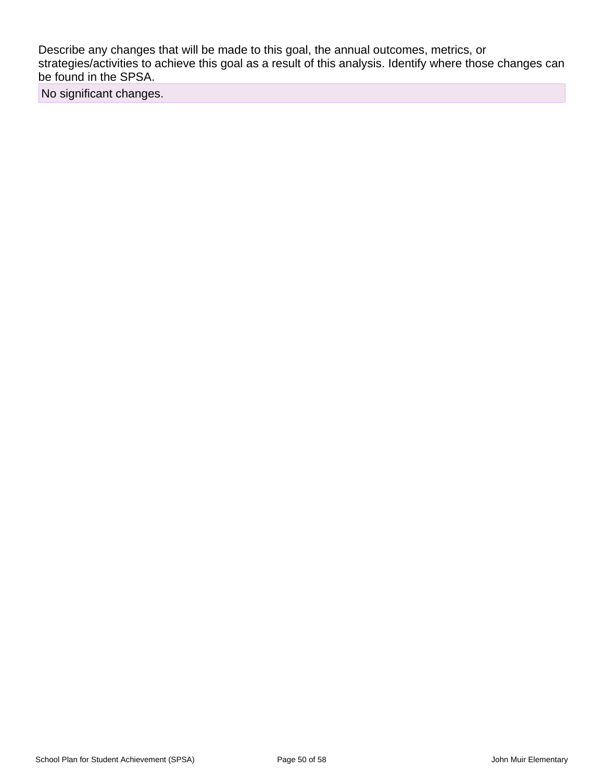Describe any changes that will be made to this goal, the annual outcomes, metrics, or strategies/activities to achieve this goal as a result of this analysis. Identify where those changes can be found in the SPSA.

No significant changes.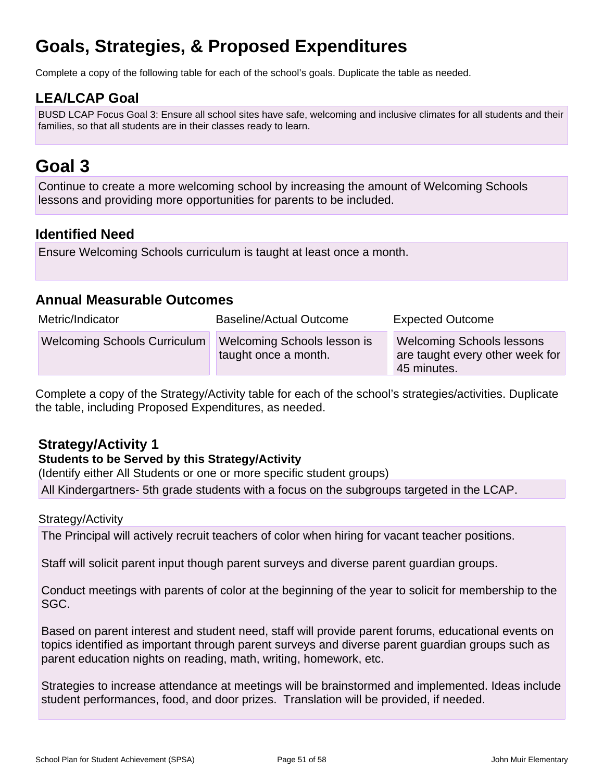## **Goals, Strategies, & Proposed Expenditures**

Complete a copy of the following table for each of the school's goals. Duplicate the table as needed.

## **LEA/LCAP Goal**

BUSD LCAP Focus Goal 3: Ensure all school sites have safe, welcoming and inclusive climates for all students and their families, so that all students are in their classes ready to learn.

## **Goal 3**

Continue to create a more welcoming school by increasing the amount of Welcoming Schools lessons and providing more opportunities for parents to be included.

### **Identified Need**

Ensure Welcoming Schools curriculum is taught at least once a month.

### **Annual Measurable Outcomes**

| Metric/Indicator                    | <b>Baseline/Actual Outcome</b>                      | <b>Expected Outcome</b>                                                            |  |  |  |  |
|-------------------------------------|-----------------------------------------------------|------------------------------------------------------------------------------------|--|--|--|--|
| <b>Welcoming Schools Curriculum</b> | Welcoming Schools lesson is<br>taught once a month. | <b>Welcoming Schools lessons</b><br>are taught every other week for<br>45 minutes. |  |  |  |  |

Complete a copy of the Strategy/Activity table for each of the school's strategies/activities. Duplicate the table, including Proposed Expenditures, as needed.

## **Strategy/Activity 1**

#### **Students to be Served by this Strategy/Activity**

(Identify either All Students or one or more specific student groups)

All Kindergartners- 5th grade students with a focus on the subgroups targeted in the LCAP.

#### Strategy/Activity

The Principal will actively recruit teachers of color when hiring for vacant teacher positions.

Staff will solicit parent input though parent surveys and diverse parent guardian groups.

Conduct meetings with parents of color at the beginning of the year to solicit for membership to the SGC.

Based on parent interest and student need, staff will provide parent forums, educational events on topics identified as important through parent surveys and diverse parent guardian groups such as parent education nights on reading, math, writing, homework, etc.

Strategies to increase attendance at meetings will be brainstormed and implemented. Ideas include student performances, food, and door prizes. Translation will be provided, if needed.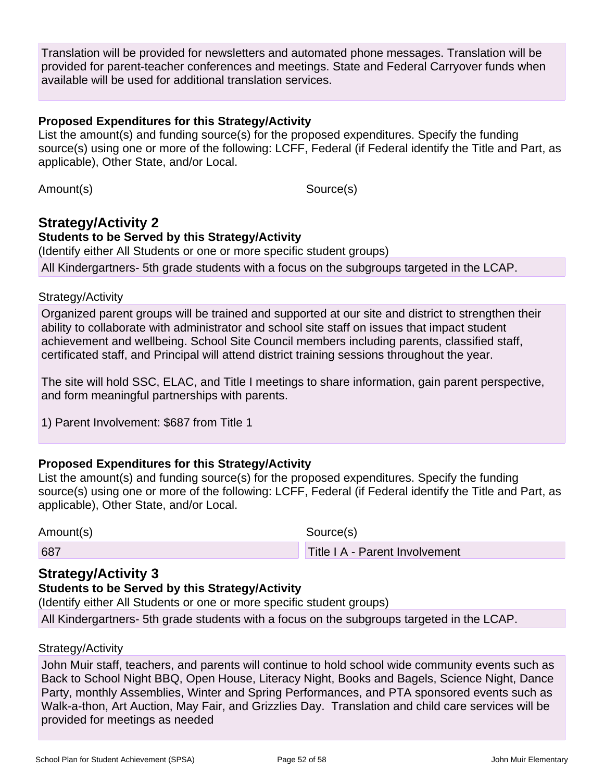Translation will be provided for newsletters and automated phone messages. Translation will be provided for parent-teacher conferences and meetings. State and Federal Carryover funds when available will be used for additional translation services.

#### **Proposed Expenditures for this Strategy/Activity**

List the amount(s) and funding source(s) for the proposed expenditures. Specify the funding source(s) using one or more of the following: LCFF, Federal (if Federal identify the Title and Part, as applicable), Other State, and/or Local.

Amount(s) Source(s)

## **Strategy/Activity 2**

#### **Students to be Served by this Strategy/Activity**

(Identify either All Students or one or more specific student groups)

All Kindergartners- 5th grade students with a focus on the subgroups targeted in the LCAP.

#### Strategy/Activity

Organized parent groups will be trained and supported at our site and district to strengthen their ability to collaborate with administrator and school site staff on issues that impact student achievement and wellbeing. School Site Council members including parents, classified staff, certificated staff, and Principal will attend district training sessions throughout the year.

The site will hold SSC, ELAC, and Title I meetings to share information, gain parent perspective, and form meaningful partnerships with parents.

1) Parent Involvement: \$687 from Title 1

#### **Proposed Expenditures for this Strategy/Activity**

List the amount(s) and funding source(s) for the proposed expenditures. Specify the funding source(s) using one or more of the following: LCFF, Federal (if Federal identify the Title and Part, as applicable), Other State, and/or Local.

Amount(s) Source(s)

687 Title I A - Parent Involvement

### **Strategy/Activity 3**

#### **Students to be Served by this Strategy/Activity**

(Identify either All Students or one or more specific student groups)

All Kindergartners- 5th grade students with a focus on the subgroups targeted in the LCAP.

#### Strategy/Activity

John Muir staff, teachers, and parents will continue to hold school wide community events such as Back to School Night BBQ, Open House, Literacy Night, Books and Bagels, Science Night, Dance Party, monthly Assemblies, Winter and Spring Performances, and PTA sponsored events such as Walk-a-thon, Art Auction, May Fair, and Grizzlies Day. Translation and child care services will be provided for meetings as needed

School Plan for Student Achievement (SPSA) Page 52 of 58 John Muir Elementary Channel Achievement (SPSA) Page 52 of 58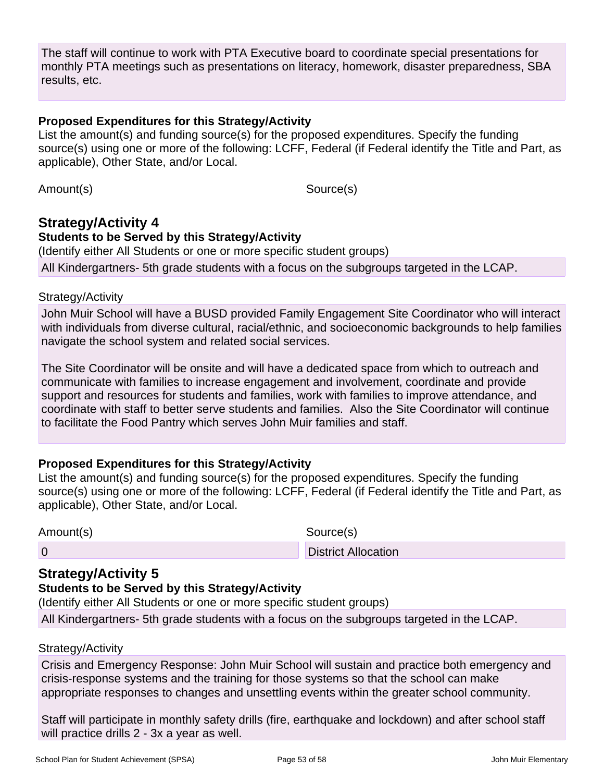The staff will continue to work with PTA Executive board to coordinate special presentations for monthly PTA meetings such as presentations on literacy, homework, disaster preparedness, SBA results, etc.

#### **Proposed Expenditures for this Strategy/Activity**

List the amount(s) and funding source(s) for the proposed expenditures. Specify the funding source(s) using one or more of the following: LCFF, Federal (if Federal identify the Title and Part, as applicable), Other State, and/or Local.

Amount(s) Source(s)

## **Strategy/Activity 4**

#### **Students to be Served by this Strategy/Activity**

(Identify either All Students or one or more specific student groups)

All Kindergartners- 5th grade students with a focus on the subgroups targeted in the LCAP.

#### Strategy/Activity

John Muir School will have a BUSD provided Family Engagement Site Coordinator who will interact with individuals from diverse cultural, racial/ethnic, and socioeconomic backgrounds to help families navigate the school system and related social services.

The Site Coordinator will be onsite and will have a dedicated space from which to outreach and communicate with families to increase engagement and involvement, coordinate and provide support and resources for students and families, work with families to improve attendance, and coordinate with staff to better serve students and families. Also the Site Coordinator will continue to facilitate the Food Pantry which serves John Muir families and staff.

### **Proposed Expenditures for this Strategy/Activity**

List the amount(s) and funding source(s) for the proposed expenditures. Specify the funding source(s) using one or more of the following: LCFF, Federal (if Federal identify the Title and Part, as applicable), Other State, and/or Local.

Amount(s) Source(s)

## **Strategy/Activity 5**

### **Students to be Served by this Strategy/Activity**

(Identify either All Students or one or more specific student groups)

0 District Allocation

All Kindergartners- 5th grade students with a focus on the subgroups targeted in the LCAP.

#### Strategy/Activity

Crisis and Emergency Response: John Muir School will sustain and practice both emergency and crisis-response systems and the training for those systems so that the school can make appropriate responses to changes and unsettling events within the greater school community.

Staff will participate in monthly safety drills (fire, earthquake and lockdown) and after school staff will practice drills 2 - 3x a year as well.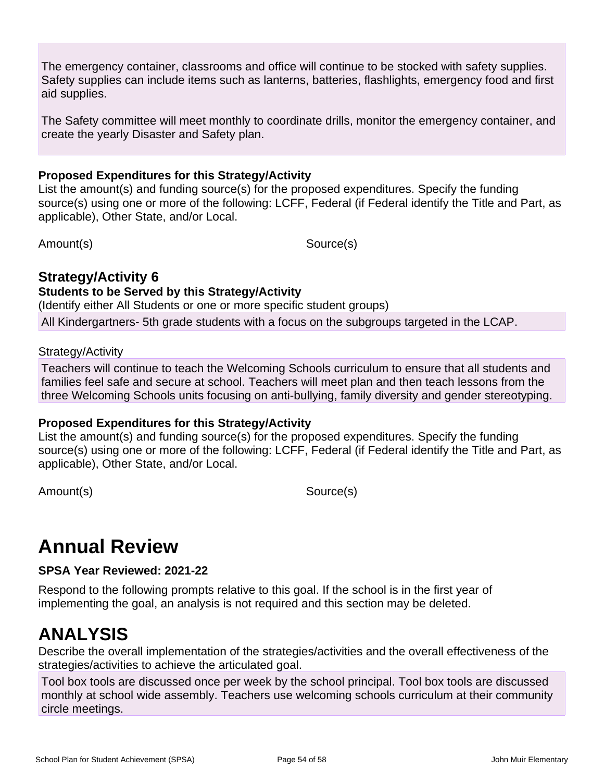The emergency container, classrooms and office will continue to be stocked with safety supplies. Safety supplies can include items such as lanterns, batteries, flashlights, emergency food and first aid supplies.

The Safety committee will meet monthly to coordinate drills, monitor the emergency container, and create the yearly Disaster and Safety plan.

#### **Proposed Expenditures for this Strategy/Activity**

List the amount(s) and funding source(s) for the proposed expenditures. Specify the funding source(s) using one or more of the following: LCFF, Federal (if Federal identify the Title and Part, as applicable), Other State, and/or Local.

Amount(s) Source(s)

### **Strategy/Activity 6**

#### **Students to be Served by this Strategy/Activity**

(Identify either All Students or one or more specific student groups)

All Kindergartners- 5th grade students with a focus on the subgroups targeted in the LCAP.

#### Strategy/Activity

Teachers will continue to teach the Welcoming Schools curriculum to ensure that all students and families feel safe and secure at school. Teachers will meet plan and then teach lessons from the three Welcoming Schools units focusing on anti-bullying, family diversity and gender stereotyping.

#### **Proposed Expenditures for this Strategy/Activity**

List the amount(s) and funding source(s) for the proposed expenditures. Specify the funding source(s) using one or more of the following: LCFF, Federal (if Federal identify the Title and Part, as applicable), Other State, and/or Local.

Amount(s) Source(s)

## **Annual Review**

**SPSA Year Reviewed: 2021-22**

Respond to the following prompts relative to this goal. If the school is in the first year of implementing the goal, an analysis is not required and this section may be deleted.

## **ANALYSIS**

Describe the overall implementation of the strategies/activities and the overall effectiveness of the strategies/activities to achieve the articulated goal.

Tool box tools are discussed once per week by the school principal. Tool box tools are discussed monthly at school wide assembly. Teachers use welcoming schools curriculum at their community circle meetings.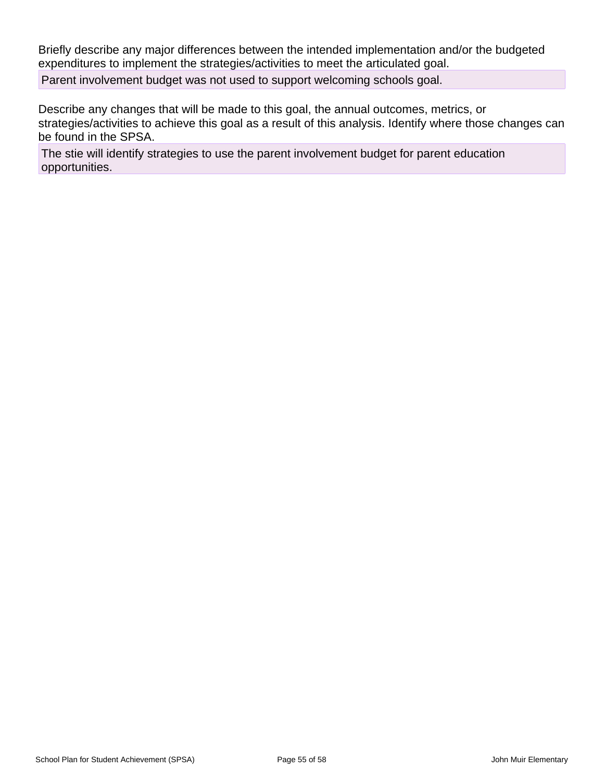Briefly describe any major differences between the intended implementation and/or the budgeted expenditures to implement the strategies/activities to meet the articulated goal.

Parent involvement budget was not used to support welcoming schools goal.

Describe any changes that will be made to this goal, the annual outcomes, metrics, or strategies/activities to achieve this goal as a result of this analysis. Identify where those changes can be found in the SPSA.

The stie will identify strategies to use the parent involvement budget for parent education opportunities.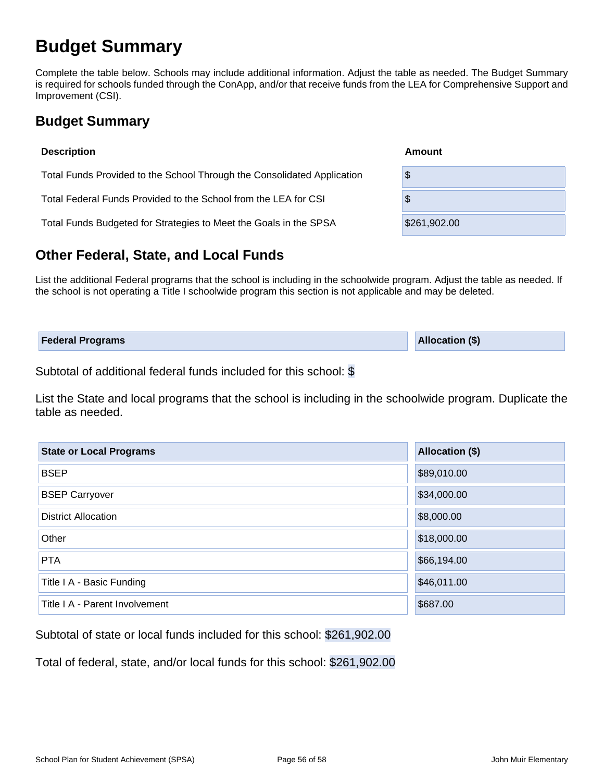## **Budget Summary**

Complete the table below. Schools may include additional information. Adjust the table as needed. The Budget Summary is required for schools funded through the ConApp, and/or that receive funds from the LEA for Comprehensive Support and Improvement (CSI).

## **Budget Summary**

| <b>Description</b>                                                      | Amount       |
|-------------------------------------------------------------------------|--------------|
| Total Funds Provided to the School Through the Consolidated Application | \$           |
| Total Federal Funds Provided to the School from the LEA for CSI         | \$           |
| Total Funds Budgeted for Strategies to Meet the Goals in the SPSA       | \$261,902.00 |

## **Other Federal, State, and Local Funds**

List the additional Federal programs that the school is including in the schoolwide program. Adjust the table as needed. If the school is not operating a Title I schoolwide program this section is not applicable and may be deleted.

| <b>Federal Programs</b> | <b>Allocation (\$)</b> |
|-------------------------|------------------------|
|                         |                        |

Subtotal of additional federal funds included for this school: \$

List the State and local programs that the school is including in the schoolwide program. Duplicate the table as needed.

| <b>State or Local Programs</b> | Allocation (\$) |  |  |  |  |
|--------------------------------|-----------------|--|--|--|--|
| <b>BSEP</b>                    | \$89,010.00     |  |  |  |  |
| <b>BSEP Carryover</b>          | \$34,000.00     |  |  |  |  |
| <b>District Allocation</b>     | \$8,000.00      |  |  |  |  |
| Other                          | \$18,000.00     |  |  |  |  |
| <b>PTA</b>                     | \$66,194.00     |  |  |  |  |
| Title I A - Basic Funding      | \$46,011.00     |  |  |  |  |
| Title I A - Parent Involvement | \$687.00        |  |  |  |  |

Subtotal of state or local funds included for this school: \$261,902.00

Total of federal, state, and/or local funds for this school: \$261,902.00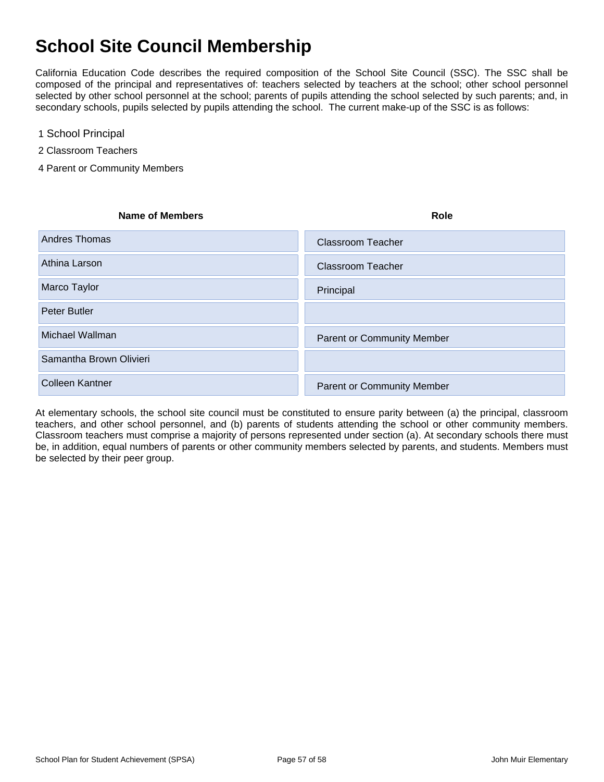## **School Site Council Membership**

California Education Code describes the required composition of the School Site Council (SSC). The SSC shall be composed of the principal and representatives of: teachers selected by teachers at the school; other school personnel selected by other school personnel at the school; parents of pupils attending the school selected by such parents; and, in secondary schools, pupils selected by pupils attending the school. The current make-up of the SSC is as follows:

- 1 School Principal
- 2 Classroom Teachers
- 4 Parent or Community Members

| <b>Name of Members</b>  | <b>Role</b>                       |
|-------------------------|-----------------------------------|
| Andres Thomas           | <b>Classroom Teacher</b>          |
| Athina Larson           | <b>Classroom Teacher</b>          |
| Marco Taylor            | Principal                         |
| Peter Butler            |                                   |
| Michael Wallman         | <b>Parent or Community Member</b> |
| Samantha Brown Olivieri |                                   |
| <b>Colleen Kantner</b>  | <b>Parent or Community Member</b> |

At elementary schools, the school site council must be constituted to ensure parity between (a) the principal, classroom teachers, and other school personnel, and (b) parents of students attending the school or other community members. Classroom teachers must comprise a majority of persons represented under section (a). At secondary schools there must be, in addition, equal numbers of parents or other community members selected by parents, and students. Members must be selected by their peer group.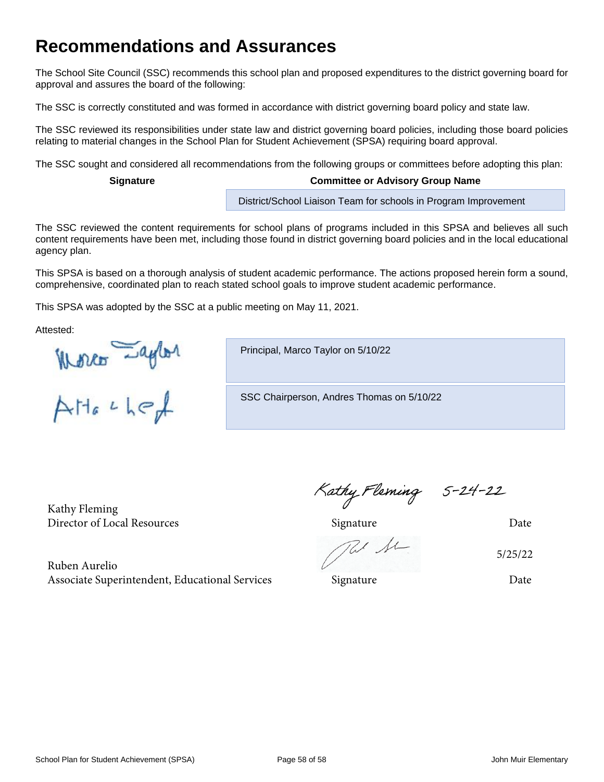## **Recommendations and Assurances**

The School Site Council (SSC) recommends this school plan and proposed expenditures to the district governing board for approval and assures the board of the following:

The SSC is correctly constituted and was formed in accordance with district governing board policy and state law.

The SSC reviewed its responsibilities under state law and district governing board policies, including those board policies relating to material changes in the School Plan for Student Achievement (SPSA) requiring board approval.

The SSC sought and considered all recommendations from the following groups or committees before adopting this plan:

#### **Signature Committee or Advisory Group Name**

District/School Liaison Team for schools in Program Improvement

The SSC reviewed the content requirements for school plans of programs included in this SPSA and believes all such content requirements have been met, including those found in district governing board policies and in the local educational agency plan.

This SPSA is based on a thorough analysis of student academic performance. The actions proposed herein form a sound, comprehensive, coordinated plan to reach stated school goals to improve student academic performance.

This SPSA was adopted by the SSC at a public meeting on May 11, 2021.

Attested:

Worker -aylor

Principal, Marco Taylor on 5/10/22

SSC Chairperson, Andres Thomas on 5/10/22

Kathy Fleming

Kathy Fleming 5-24-22<br>Director of Local Resources Signature Date

5/25/22

Ruben Aurelio Associate Superintendent, Educational Services Signature Signature Date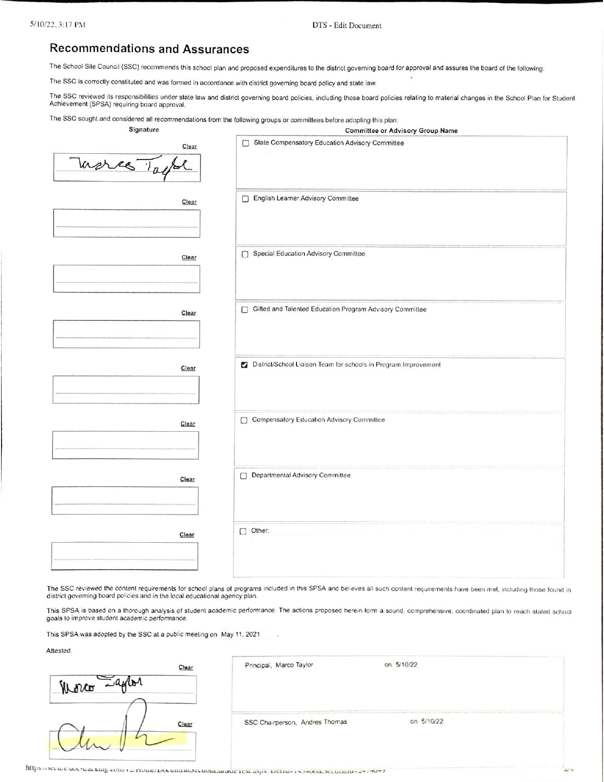DTS - Edit Document

# **Recommendations and Assurances**

The School Site Council (SSC) recommends this school plan and proposed expenditures to the district governing board for approval and assures the board of the following:

The SSC is correctly constituted and was formed in accordance with district governing board policy and state law.

The SSC reviewed its responsibilities under state law and district governing board policies, including those board policies relating to material changes in the School Plan for Student Achievement (SPSA) requiring board approval.

The SSC sought and considered all recommendations from the following groups or committees before adopting this plan:

| Signature               | <b>Committee or Advisory Group Name</b>                       |
|-------------------------|---------------------------------------------------------------|
| Clear<br>Tueres 1 april | State Compensatory Education Advisory Committee<br>С          |
| Clear                   | English Learner Advisory Committee<br>□                       |
| Clear                   | Special Education Advisory Committee<br>□                     |
| Clear                   | Gifted and Talented Education Program Advisory Committee<br>Π |

| Clear | District/School Liaison Team for schools in Program Improvement |
|-------|-----------------------------------------------------------------|
| Clear | Compensatory Education Advisory Committee<br>$\Box$             |
| Clear | Departmental Advisory Committee                                 |
| Clear | $\Box$ Other:                                                   |

The SSC reviewed the content requirements for school plans of programs included in this SPSA and believes all such content requirements have been met, including those found in district governing board policies and in the local educational agency plan.

This SPSA is based on a thorough analysis of student academic performance. The actions proposed herein form a sound, comprehensive, coordinated plan to reach stated school goals to improve student academic performance.

This SPSA was adopted by the SSC at a public meeting on May 11, 2021

Attested:

| Jamer<br>Worth |  |
|----------------|--|
|                |  |

Principal, Marco Taylor

on 5/10/22